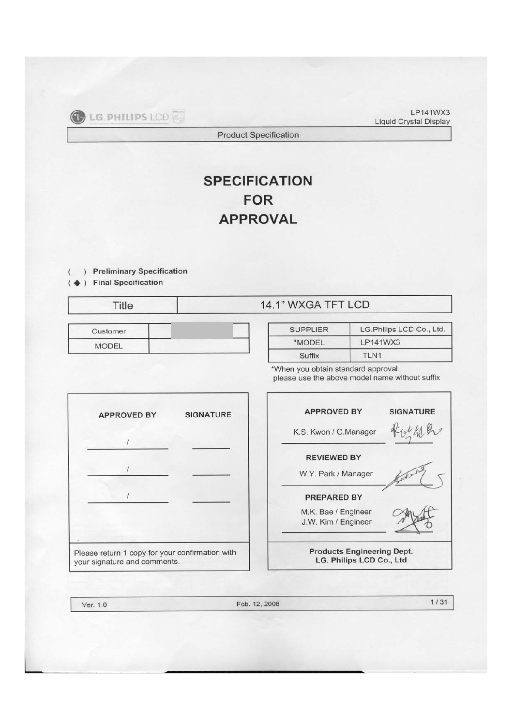LP141WX3 **Liquid Crystal Display** 

**Product Specification** 

# **SPECIFICATION FOR APPROVAL**

- ) Preliminary Specification
- ) Final Specification

**MODEL** 

|          | 1" WXGA TF      |
|----------|-----------------|
| Customer | <b>SUPPLIER</b> |

| <b>SUPPLIER</b> | LG.Philips LCD Co., Ltd. |
|-----------------|--------------------------|
| *MODEL          | LP141WX3                 |
| Suffix          | TI <sub>N1</sub>         |

**LCD** 

\*When you obtain standard approval, please use the above model name without suffix



 $1/31$ Feb. 12, 2008 Ver. 1.0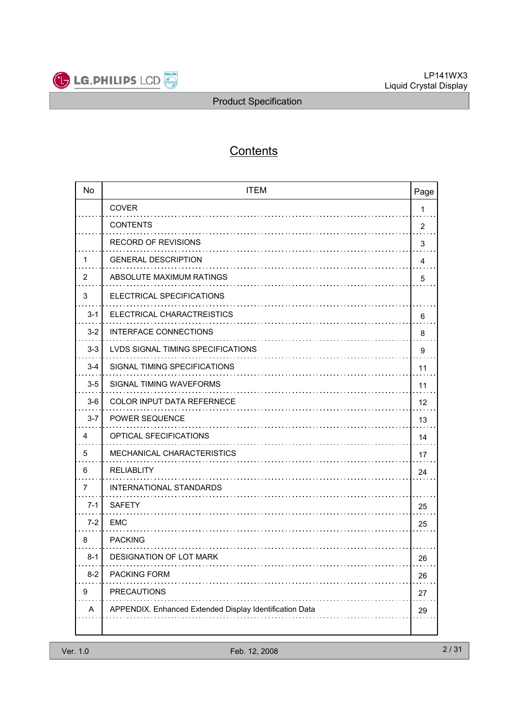

# **Contents**

| <b>No</b> | <b>ITEM</b>                                             | Page           |
|-----------|---------------------------------------------------------|----------------|
|           | <b>COVER</b>                                            | 1              |
|           | <b>CONTENTS</b>                                         | $\overline{2}$ |
|           | <b>RECORD OF REVISIONS</b>                              | 3              |
| 1         | <b>GENERAL DESCRIPTION</b>                              | 4              |
| 2         | ABSOLUTE MAXIMUM RATINGS                                | 5              |
| 3         | ELECTRICAL SPECIFICATIONS                               |                |
| $3 - 1$   | ELECTRICAL CHARACTREISTICS                              | 6              |
| $3 - 2$   | <b>INTERFACE CONNECTIONS</b>                            | 8              |
| $3-3$     | <b>LVDS SIGNAL TIMING SPECIFICATIONS</b>                | 9              |
| $3 - 4$   | SIGNAL TIMING SPECIFICATIONS                            | 11             |
| $3-5$     | SIGNAL TIMING WAVEFORMS                                 | 11             |
| $3-6$     | <b>COLOR INPUT DATA REFERNECE</b>                       | 12             |
| $3 - 7$   | POWER SEQUENCE                                          | 13             |
| 4         | OPTICAL SFECIFICATIONS                                  | 14             |
| 5         | MECHANICAL CHARACTERISTICS                              | 17             |
| 6         | <b>RELIABLITY</b>                                       | 24             |
| 7         | INTERNATIONAL STANDARDS                                 |                |
| 7-1       | <b>SAFETY</b>                                           | 25             |
| $7 - 2$   | <b>EMC</b>                                              | 25             |
| 8         | <b>PACKING</b>                                          |                |
| $8-1$     | DESIGNATION OF LOT MARK                                 | 26             |
| $8 - 2$   | PACKING FORM                                            | 26             |
| 9         | <b>PRECAUTIONS</b>                                      | 27             |
| Α         | APPENDIX. Enhanced Extended Display Identification Data | 29             |
|           |                                                         |                |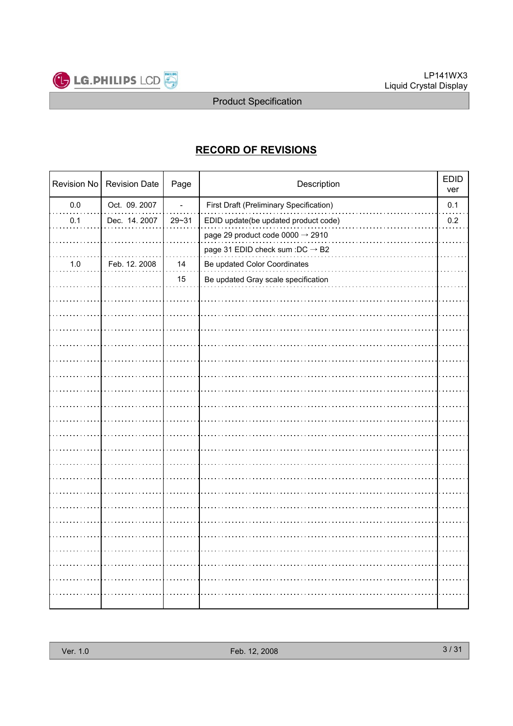

## RECORD OF REVISIONS

|         | Revision No   Revision Date | Page      | Description                                    |     |
|---------|-----------------------------|-----------|------------------------------------------------|-----|
| $0.0\,$ | Oct. 09. 2007               |           | <b>First Draft (Preliminary Specification)</b> | 0.1 |
| 0.1     | Dec. 14.2007                | $29 - 31$ | EDID update(be updated product code)           | 0.2 |
|         |                             |           | page 29 product code 0000 $\rightarrow$ 2910   |     |
|         |                             |           | page 31 EDID check sum :DC $\rightarrow$ B2    |     |
| $1.0$   | Feb. 12. 2008               | 14        | Be updated Color Coordinates                   |     |
|         |                             | 15        | Be updated Gray scale specification            |     |
|         |                             |           |                                                |     |
|         |                             |           |                                                |     |
|         |                             |           |                                                |     |
|         |                             |           |                                                |     |
|         |                             |           |                                                |     |
|         |                             |           |                                                |     |
|         |                             |           |                                                |     |
|         |                             |           |                                                |     |
|         |                             |           |                                                |     |
|         |                             |           |                                                |     |
|         |                             |           |                                                |     |
|         |                             |           |                                                |     |
|         |                             |           |                                                |     |
|         |                             |           |                                                |     |
|         |                             |           |                                                |     |
|         |                             |           |                                                |     |
|         |                             |           |                                                |     |
|         |                             |           |                                                |     |
|         |                             |           |                                                |     |
|         |                             |           |                                                |     |
|         |                             |           |                                                |     |
|         |                             |           |                                                |     |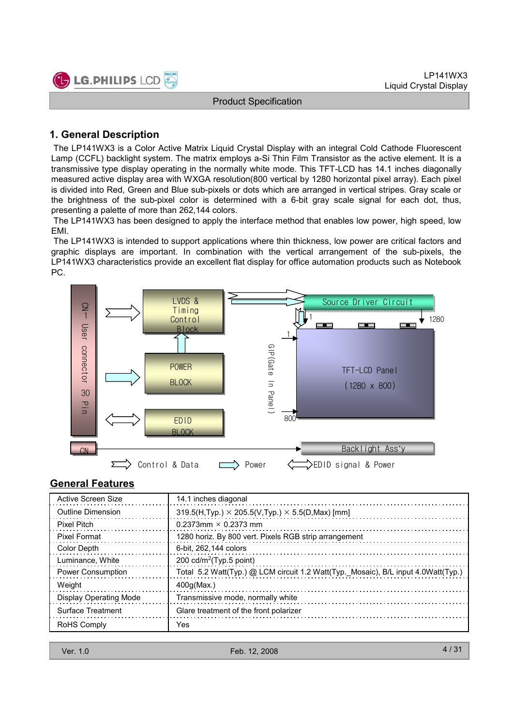

### 1. General Description

The LP141WX3 is a Color Active Matrix Liquid Crystal Display with an integral Cold Cathode Fluorescent Lamp (CCFL) backlight system. The matrix employs a-Si Thin Film Transistor as the active element. It is a transmissive type display operating in the normally white mode. This TFT-LCD has 14.1 inches diagonally measured active display area with WXGA resolution(800 vertical by 1280 horizontal pixel array). Each pixel is divided into Red, Green and Blue sub-pixels or dots which are arranged in vertical stripes. Gray scale or the brightness of the sub-pixel color is determined with a 6-bit gray scale signal for each dot, thus, presenting a palette of more than 262,144 colors.

The LP141WX3 has been designed to apply the interface method that enables low power, high speed, low EMI.

The LP141WX3 is intended to support applications where thin thickness, low power are critical factors and graphic displays are important. In combination with the vertical arrangement of the sub-pixels, the LP141WX3 characteristics provide an excellent flat display for office automation products such as Notebook PC.



### General Features

| Active Screen Size            | 14.1 inches diagonal                                                              |
|-------------------------------|-----------------------------------------------------------------------------------|
| <b>Outline Dimension</b>      | $319.5(H, Typ.) \times 205.5(V, Typ.) \times 5.5(D, Max)$ [mm]                    |
| <b>Pixel Pitch</b>            | 0.2373mm $\times$ 0.2373 mm                                                       |
| <b>Pixel Format</b>           | 1280 horiz. By 800 vert. Pixels RGB strip arrangement                             |
| Color Depth                   | 6-bit, 262,144 colors                                                             |
| Luminance, White              | 200 $cd/m^2$ (Typ.5 point)                                                        |
| <b>Power Consumption</b>      | Total 5.2 Watt(Typ.) @ LCM circuit 1.2 Watt(Typ._Mosaic), B/L input 4.0Watt(Typ.) |
| Weight                        | 400q(Max.)                                                                        |
| <b>Display Operating Mode</b> | Transmissive mode, normally white                                                 |
| Surface Treatment             | Glare treatment of the front polarizer                                            |
| RoHS Comply                   | Yes                                                                               |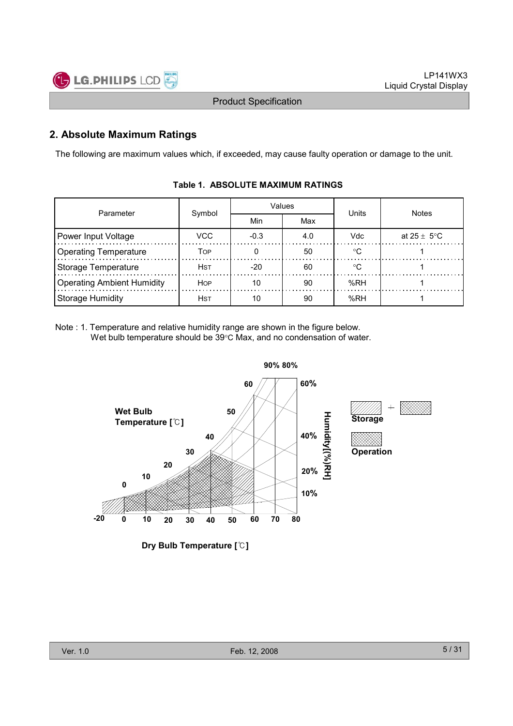

## 2. Absolute Maximum Ratings

The following are maximum values which, if exceeded, may cause faulty operation or damage to the unit.

| Parameter                         | Symbol      |        | Values | Units      | <b>Notes</b>    |  |
|-----------------------------------|-------------|--------|--------|------------|-----------------|--|
|                                   |             | Min    | Max    |            |                 |  |
| Power Input Voltage               | VCC         | $-0.3$ | 4.0    | <b>Vdc</b> | at 25 $\pm$ 5°C |  |
| <b>Operating Temperature</b>      | Тор         |        | 50     | $\circ$    |                 |  |
| Storage Temperature               | <b>H</b> st | $-20$  | 60     | ം          |                 |  |
| <b>Operating Ambient Humidity</b> | <b>HOP</b>  | 10     | 90     | %RH        |                 |  |
| <b>Storage Humidity</b>           | <b>H</b> st |        | 90     | %RH        |                 |  |

### Table 1. ABSOLUTE MAXIMUM RATINGS

Note : 1. Temperature and relative humidity range are shown in the figure below. Wet bulb temperature should be 39°C Max, and no condensation of water.



Dry Bulb Temperature [℃]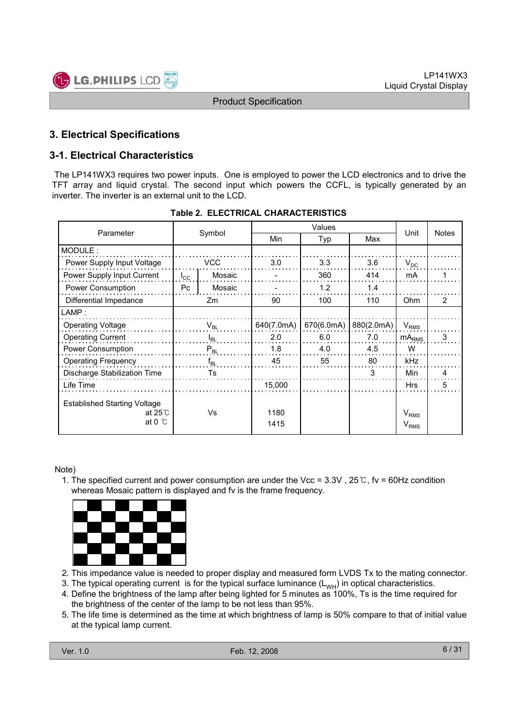

## 3. Electrical Specifications

## 3-1. Electrical Characteristics

The LP141WX3 requires two power inputs. One is employed to power the LCD electronics and to drive the TFT array and liquid crystal. The second input which powers the CCFL, is typically generated by an inverter. The inverter is an external unit to the LCD.

|                                                                            | Symbol<br>Parameter |          |              |            |            |                               |              |
|----------------------------------------------------------------------------|---------------------|----------|--------------|------------|------------|-------------------------------|--------------|
|                                                                            |                     |          | Min          | Typ        | Max        | Unit                          | <b>Notes</b> |
| MODULE:                                                                    |                     |          |              |            |            |                               |              |
| Power Supply Input Voltage                                                 |                     | VCC      | 3.0          | 3.3        | 3.6        | $V_{DC}$                      |              |
| Power Supply Input Current                                                 | $I_{\rm CC}$        | Mosaic   |              | 360        | 414        | mA                            |              |
| Power Consumption                                                          | P <sub>C</sub>      | Mosaic   |              | 1.2<br>1.4 |            |                               |              |
| Differential Impedance                                                     |                     | Zm       | 90           | 100        | 110        | Ohm                           | 2            |
| $\mathsf{LAMP}$ :                                                          |                     |          |              |            |            |                               |              |
| <b>Operating Voltage</b>                                                   |                     | $V_{BL}$ | 640(7.0mA)   | 670(6.0mA) | 880(2.0mA) | $V_{RMS}$                     |              |
| <b>Operating Current</b>                                                   |                     | $I_{BL}$ | 2.0          | 6.0        | 7.0        | $mA_{RMS}$                    | 3            |
| Power Consumption                                                          |                     | $P_{BL}$ | 1.8          | 4.0        | 4.5        | W                             |              |
| <b>Operating Frequency</b>                                                 |                     | $f_{BL}$ | 45           | 55         | 80         | kHz                           |              |
| Discharge Stabilization Time                                               |                     | Ts       |              |            | 3          | Min                           | 4            |
| Life Time                                                                  |                     |          | 15,000       |            |            | <b>Hrs</b>                    | 5            |
| <b>Established Starting Voltage</b><br>at $25^\circ$ C<br>at 0 $\degree$ C | Vs                  |          | 1180<br>1415 |            |            | V <sub>RMS</sub><br>$V_{RMS}$ |              |

#### Table 2. ELECTRICAL CHARACTERISTICS

#### Note)

1. The specified current and power consumption are under the Vcc = 3.3V , 25℃, fv = 60Hz condition whereas Mosaic pattern is displayed and fv is the frame frequency.



- 2. This impedance value is needed to proper display and measured form LVDS Tx to the mating connector.
- 3. The typical operating current is for the typical surface luminance  $(L_{WH})$  in optical characteristics.
- 4. Define the brightness of the lamp after being lighted for 5 minutes as 100%, Ts is the time required for the brightness of the center of the lamp to be not less than 95%.
- 5. The life time is determined as the time at which brightness of lamp is 50% compare to that of initial value at the typical lamp current.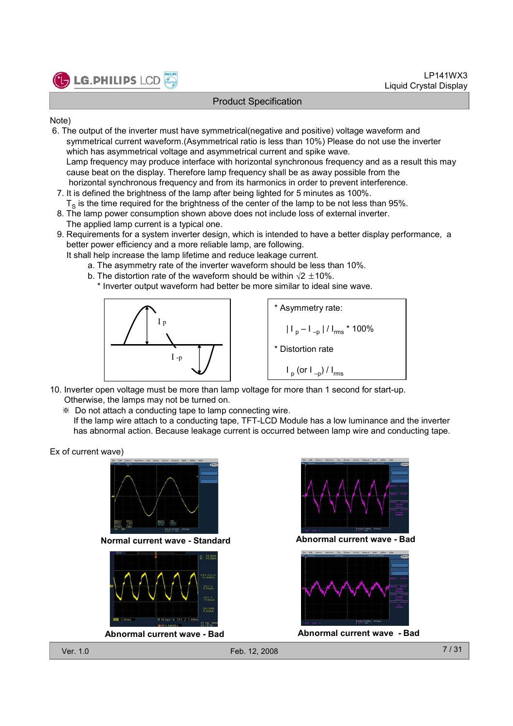

#### Note)

- 6. The output of the inverter must have symmetrical(negative and positive) voltage waveform and symmetrical current waveform.(Asymmetrical ratio is less than 10%) Please do not use the inverter which has asymmetrical voltage and asymmetrical current and spike wave. Lamp frequency may produce interface with horizontal synchronous frequency and as a result this may cause beat on the display. Therefore lamp frequency shall be as away possible from the horizontal synchronous frequency and from its harmonics in order to prevent interference.
- 7. It is defined the brightness of the lamp after being lighted for 5 minutes as 100%.  ${\tt T}_{\tt S}$  is the time required for the brightness of the center of the lamp to be not less than 95%.
- 8. The lamp power consumption shown above does not include loss of external inverter. The applied lamp current is a typical one.
- 9. Requirements for a system inverter design, which is intended to have a better display performance, a better power efficiency and a more reliable lamp, are following.
	- It shall help increase the lamp lifetime and reduce leakage current.
		- a. The asymmetry rate of the inverter waveform should be less than 10%.
		- b. The distortion rate of the waveform should be within  $\sqrt{2} \pm 10\%$ . \* Inverter output waveform had better be more similar to ideal sine wave.



\* Asymmetry rate: | I <sub>p</sub> – I <sub>–p</sub> | / I<sub>rms</sub> \* 100% \* Distortion rate I <sub>p</sub> (or I <sub>–p</sub>) / I<sub>rms</sub>

- 10. Inverter open voltage must be more than lamp voltage for more than 1 second for start-up. Otherwise, the lamps may not be turned on.
	- ※ Do not attach a conducting tape to lamp connecting wire.
	- If the lamp wire attach to a conducting tape, TFT-LCD Module has a low luminance and the inverter has abnormal action. Because leakage current is occurred between lamp wire and conducting tape.

Ex of current wave)



Normal current wave - Standard Abnormal current wave - Bad







Abnormal current wave - Bad Abnormal current wave - Bad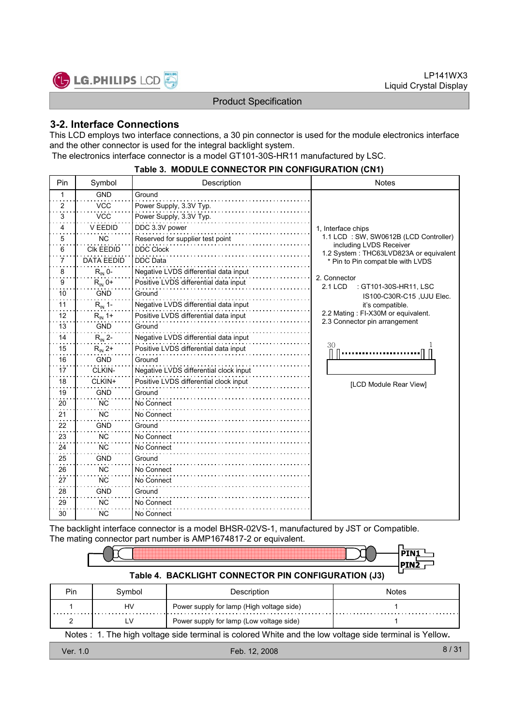

٦

#### Product Specification

### 3-2. Interface Connections

 $\Box$ 

This LCD employs two interface connections, a 30 pin connector is used for the module electronics interface and the other connector is used for the integral backlight system. The electronics interface connector is a model GT101-30S-HR11 manufactured by LSC.

|                |                    | <u>UUTITUSTUI IITUU ITII UUTITUI TUITTUU</u> |                                                                   |
|----------------|--------------------|----------------------------------------------|-------------------------------------------------------------------|
| Pin            | Symbol             | Description                                  | <b>Notes</b>                                                      |
| 1              | <b>GND</b>         | Ground                                       |                                                                   |
| $\overline{c}$ | <b>VCC</b>         | Power Supply, 3.3V Typ.                      |                                                                   |
| 3              | <b>VCC</b>         | Power Supply, 3.3V Typ.                      |                                                                   |
| 4              | V EEDID            | DDC 3.3V power                               | 1, Interface chips                                                |
| 5              | <b>NC</b>          | Reserved for supplier test point             | 1.1 LCD: SW, SW0612B (LCD Controller)                             |
| 6              | <b>CIK EEDID</b>   | <b>DDC Clock</b>                             | including LVDS Receiver<br>1.2 System: THC63LVD823A or equivalent |
| 7              | <b>DATA EEDID</b>  | <b>DDC</b> Data                              | * Pin to Pin compat ble with LVDS                                 |
| 8              | $R_{IN}$ 0-        | Negative LVDS differential data input        |                                                                   |
| 9              | $R_{IN}$ 0+        | Positive LVDS differential data input        | 2. Connector<br><b>2.1 LCD</b><br>: GT101-30S-HR11, LSC           |
| 10             | <b>GND</b>         | Ground                                       | IS100-C30R-C15, UJU Elec.                                         |
| 11             | $R_{\text{IN}}$ 1- | Negative LVDS differential data input        | it's compatible.                                                  |
| 12             | $R_{IN}$ 1+        | Positive LVDS differential data input        | 2.2 Mating : FI-X30M or equivalent.                               |
| 13             | <b>GND</b>         | Ground                                       | 2.3 Connector pin arrangement                                     |
| 14             | $R_{\text{IN}}$ 2- | Negative LVDS differential data input        |                                                                   |
| 15             | $R_{IN}$ 2+        | Positive LVDS differential data input        | 30                                                                |
| 16             | <b>GND</b>         | Ground                                       |                                                                   |
| 17             | CLKIN-             | Negative LVDS differential clock input       |                                                                   |
| 18             | CLKIN+             | Positive LVDS differential clock input       | [LCD Module Rear View]                                            |
| 19             | <b>GND</b>         | Ground                                       |                                                                   |
| 20             | NC.                | No Connect                                   |                                                                   |
| 21             | <b>NC</b>          | No Connect                                   |                                                                   |
| 22             | <b>GND</b>         | Ground                                       |                                                                   |
| 23             | NC.                | No Connect                                   |                                                                   |
| 24             | <b>NC</b>          | No Connect                                   |                                                                   |
| 25             | <b>GND</b>         | Ground                                       |                                                                   |
| 26             | NC.                | No Connect                                   |                                                                   |
| 27             | <b>NC</b>          | No Connect                                   |                                                                   |
| 28             | <b>GND</b>         | Ground                                       |                                                                   |
| 29             | <b>NC</b>          | No Connect                                   |                                                                   |
| 30             | NC.                | No Connect                                   |                                                                   |
|                |                    |                                              |                                                                   |

#### Table 3. MODULE CONNECTOR PIN CONFIGURATION (CN1)

The backlight interface connector is a model BHSR-02VS-1, manufactured by JST or Compatible. The mating connector part number is AMP1674817-2 or equivalent.

| Table 4. BACKLIGHT CONNECTOR PIN CONFIGURATION (J3) |        |             |              |  |  |  |  |  |
|-----------------------------------------------------|--------|-------------|--------------|--|--|--|--|--|
| Pin                                                 | Symbol | Description | <b>Notes</b> |  |  |  |  |  |

| гш                                                                                                      | OVIIIDUI | <b>DESCRUTION</b><br><b>INULUS</b>        |  |  |  |  |
|---------------------------------------------------------------------------------------------------------|----------|-------------------------------------------|--|--|--|--|
|                                                                                                         | HV       | Power supply for lamp (High voltage side) |  |  |  |  |
|                                                                                                         |          | Power supply for lamp (Low voltage side)  |  |  |  |  |
| Notes : 1. The high voltage side terminal is colored White and the low voltage side terminal is Yellow. |          |                                           |  |  |  |  |
| 8 / 31<br>Feb. 12, 2008<br>Ver. 1.0                                                                     |          |                                           |  |  |  |  |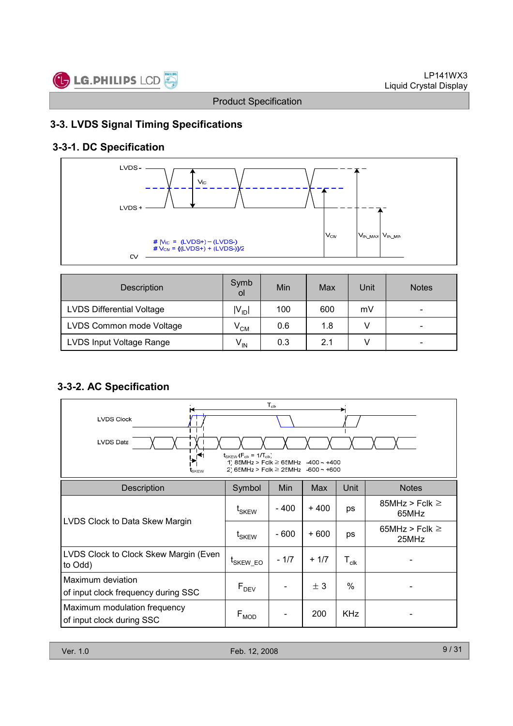

## 3-3. LVDS Signal Timing Specifications

## 3-3-1. DC Specification



| Description                      | Symb<br>οl      | Min | Max | Unit | <b>Notes</b>             |
|----------------------------------|-----------------|-----|-----|------|--------------------------|
| <b>LVDS Differential Voltage</b> | $ V_{ID} $      | 100 | 600 | mV   | $\overline{\phantom{0}}$ |
| LVDS Common mode Voltage         | $V^{\text{CM}}$ | 0.6 | 1.8 |      | $\overline{\phantom{0}}$ |
| LVDS Input Voltage Range         | $V_{\text{IN}}$ | 0.3 | 2.1 |      | $\overline{\phantom{0}}$ |

## 3-3-2. AC Specification

| $T_{\scriptscriptstyle{\text{clk}}}$<br><b>LVDS Clock</b><br><b>LVDS Data</b><br>$t_{SKEW}$ ( $F_{clk}$ = 1/ $T_{clk}$ )<br>⋰<br>1) 85MHz > Fclk $\geq$ 65MHz $-400 \sim +400$<br>2) 65MHz > Fclk $\geq$ 25MHz -600 ~ +600<br>t <sub>skew</sub> |                              |        |        |                  |                              |  |  |  |  |
|-------------------------------------------------------------------------------------------------------------------------------------------------------------------------------------------------------------------------------------------------|------------------------------|--------|--------|------------------|------------------------------|--|--|--|--|
| <b>Description</b>                                                                                                                                                                                                                              | Symbol                       | Min    | Max    | Unit             | <b>Notes</b>                 |  |  |  |  |
|                                                                                                                                                                                                                                                 | t <sub>SKEW</sub>            | - 400  | $+400$ | ps               | 85MHz > Fclk $\geq$<br>65MHz |  |  |  |  |
| LVDS Clock to Data Skew Margin                                                                                                                                                                                                                  | $\mathsf{t}_{\mathsf{SKEW}}$ | - 600  | + 600  | ps               | 65MHz > Fclk $\geq$<br>25MHz |  |  |  |  |
| LVDS Clock to Clock Skew Margin (Even<br>to Odd)                                                                                                                                                                                                | <sup>L</sup> SKEW_EO         | $-1/7$ | $+1/7$ | $T_{\text{clk}}$ |                              |  |  |  |  |
| Maximum deviation<br>of input clock frequency during SSC                                                                                                                                                                                        | $F_{DEV}$                    |        | ± 3    | $\%$             |                              |  |  |  |  |
| Maximum modulation frequency<br>of input clock during SSC                                                                                                                                                                                       | $\mathsf{F}_{\mathsf{MOD}}$  |        | 200    | <b>KHz</b>       |                              |  |  |  |  |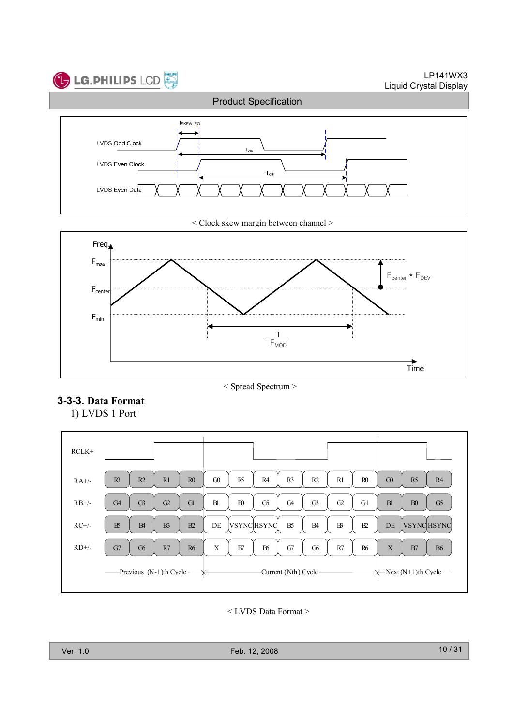

< Clock skew margin between channel >



< Spread Spectrum >

### 3-3-3. Data Format

1) LVDS 1 Port

| $RCLK+$             |                                              |                                                                                              |                                   |
|---------------------|----------------------------------------------|----------------------------------------------------------------------------------------------|-----------------------------------|
| $RA+/$              | R2<br>R1<br>R <sup>3</sup><br>R <sub>0</sub> | $\Omega$<br>R4<br>R1<br>R <sub>0</sub><br>R <sub>5</sub><br>R <sub>3</sub><br>R <sub>2</sub> | R4<br>G0<br>R <sub>5</sub>        |
| $RB+/$              | G3<br>C <sub>2</sub><br>G <sub>4</sub><br>Gl | B1<br>G5<br>B <sub>0</sub><br>G <sub>4</sub><br>G3<br>G1<br>$\Omega$                         | B1<br>B <sub>0</sub><br>G5        |
| $RC+/$              | $B\!S$<br>B4<br>B <sub>3</sub><br>B2         | DE<br><b>VSYNCHSYNC</b><br>B <sub>5</sub><br>$B^2$<br>B2<br>B <sub>4</sub>                   | <b>VSYNCHSYNC</b><br>DE           |
| $RD$ <sup>+/-</sup> | G6<br>R7<br>G7<br><b>R6</b>                  | X<br><b>B6</b><br>B7<br>G7<br>G6<br>R7<br><b>R6</b>                                          | $\mathbf X$<br><b>B6</b><br>B7    |
|                     | -Previous (N-1)th Cycle —                    | Current (Nth) Cycle-                                                                         | $\leftarrow$ Next (N+1)th Cycle — |

< LVDS Data Format >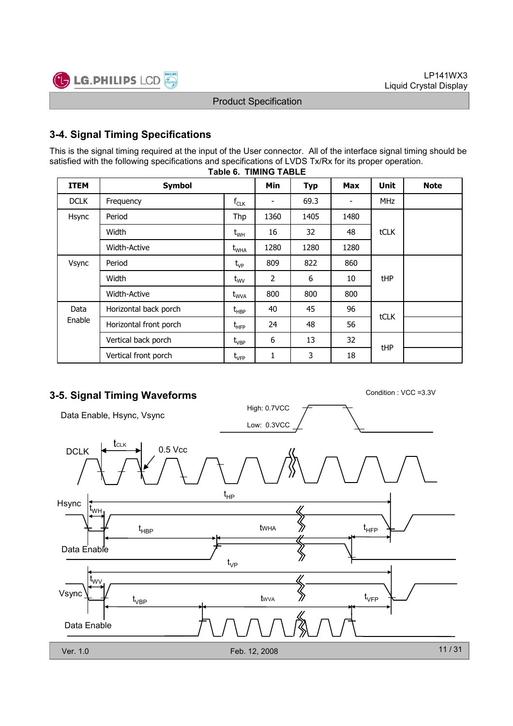

## 3-4. Signal Timing Specifications

This is the signal timing required at the input of the User connector. All of the interface signal timing should be satisfied with the following specifications and specifications of LVDS Tx/Rx for its proper operation.

| <b>ITEM</b> | <b>Symbol</b>          |                                               | Min  | <b>Typ</b> | <b>Max</b>               | <b>Unit</b> | <b>Note</b> |
|-------------|------------------------|-----------------------------------------------|------|------------|--------------------------|-------------|-------------|
| <b>DCLK</b> | Frequency              | $f_{CLK}$                                     | -    | 69.3       | $\overline{\phantom{a}}$ | <b>MHz</b>  |             |
| Hsync       | Period                 | Thp                                           | 1360 | 1405       | 1480                     |             |             |
|             | Width                  | $\rm t_{\rm WH}$                              | 16   | 32         | 48                       | tCLK        |             |
|             | <b>Width-Active</b>    | $t_{\text{WHA}}$                              | 1280 | 1280       | 1280                     |             |             |
| Vsync       | Period                 | $t_{VP}$                                      | 809  | 822        | 860                      |             |             |
|             | Width                  | $t_{\text{wV}}$                               | 2    | 6          | 10                       | <b>tHP</b>  |             |
|             | <b>Width-Active</b>    | $t_{\text{WVA}}$                              | 800  | 800        | 800                      |             |             |
| Data        | Horizontal back porch  | $t_{\sf HBP}$                                 | 40   | 45         | 96                       | tCLK        |             |
| Enable      | Horizontal front porch | $\mathsf{t}_{\mathsf{H}\mathsf{F}\mathsf{P}}$ | 24   | 48         | 56                       |             |             |
|             | Vertical back porch    | $t_{\rm VBP}$                                 | 6    | 13         | 32                       |             |             |
|             | Vertical front porch   | $t_{\rm VFP}$                                 | 1    | 3          | 18                       | <b>tHP</b>  |             |

#### Table 6. TIMING TABLE

## 3-5. Signal Timing Waveforms Condition : VCC = 3.3V

High: 0.7VCC Data Enable, Hsync, Vsync Low: 0.3VCC tCLK DCLK  $\left| \leftarrow$  CLK 0.5 Vcc  $t_{HP}$ Hsync tWH tWHA  $t_{\text{HBP}}$  twha  $\gg$   $t_{\text{HFP}}$ Data Enable  $t_{\vee P}$ t<sub>wv</sub>  $\bigotimes$ Vsync  $t_{\rm VFP}$ tWVA  $\mathfrak{t}_{\mathsf{VBP}}$ Data Enable 11 / 31 Ver. 1.0 Feb. 12, 2008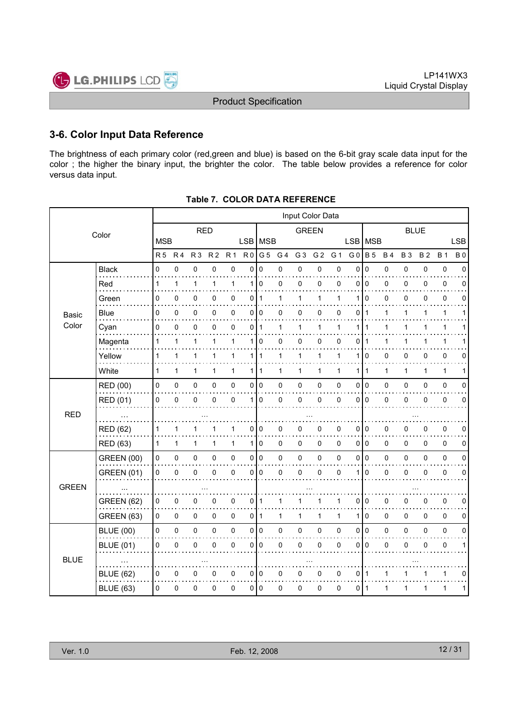

### 3-6. Color Input Data Reference

The brightness of each primary color (red,green and blue) is based on the 6-bit gray scale data input for the color ; the higher the binary input, the brighter the color. The table below provides a reference for color versus data input.

|                      |                   | Input Color Data |                |                |                |              |                |                |             |                |                |             |                |              |              |              |              |             |             |
|----------------------|-------------------|------------------|----------------|----------------|----------------|--------------|----------------|----------------|-------------|----------------|----------------|-------------|----------------|--------------|--------------|--------------|--------------|-------------|-------------|
|                      | <b>RED</b>        |                  |                |                | <b>GREEN</b>   |              |                |                | <b>BLUE</b> |                |                |             |                |              |              |              |              |             |             |
|                      |                   | <b>MSB</b>       |                |                |                |              |                | LSB MSB        |             |                |                |             | <b>LSB</b>     | <b>MSB</b>   |              |              |              |             | <b>LSB</b>  |
|                      |                   | R <sub>5</sub>   | R <sub>4</sub> | R <sub>3</sub> | R <sub>2</sub> | <b>R1</b>    | R <sub>0</sub> | G <sub>5</sub> | G 4         | G <sub>3</sub> | G <sub>2</sub> | G 1         | G <sub>0</sub> | <b>B</b> 5   | <b>B4</b>    | <b>B3</b>    | <b>B2</b>    | <b>B</b> 1  | <b>B0</b>   |
|                      | <b>Black</b>      | 0                | $\mathbf 0$    | 0              | 0              | 0            | 0              | $\mathbf 0$    | 0           | $\pmb{0}$      | 0              | $\mathsf 0$ | $\mathbf{0}$   | $\mathbf 0$  | 0            | $\mathbf 0$  | 0            | $\pmb{0}$   | $\Omega$    |
| Basic<br>Color       | Red               | 1                | 1              | $\mathbf{1}$   | 1              | 1            | 1              | 0              | 0           | 0              | 0              | 0           | 0              | $\mathbf 0$  | 0            | 0            | 0            | 0           | 0           |
|                      | Green             | 0                | 0              | 0              | 0              | 0            | 0              | 1              | 1           | 1              | 1              | 1           | 1              | $\Omega$     | 0            | 0            | 0            | 0           | 0           |
|                      | Blue              | 0                | 0              | 0              | 0              | 0            | 0              | 0              | 0           | 0              | 0              | 0           | 0              | 1            | 1            | 1            | 1            | 1           | 1           |
|                      | Cyan              | 0                | $\mathbf 0$    | 0              | $\Omega$       | $\mathbf{0}$ | 0              | $\mathbf 1$    | 1           | $\mathbf{1}$   | $\mathbf{1}$   | 1           | 1              | 1            | 1            | 1            | 1            | 1           | 1           |
|                      | Magenta           | 1                | 1              | 1              | 1              | 1            | 1              | 0              | 0           | 0              | 0              | 0           | 0              | -1           | 1            |              |              | 1           |             |
|                      | Yellow            | 1                | 1              | 1              | 1              | 1            | $\mathbf{1}$   | $\mathbf{1}$   | 1           | 1              | 1              | 1           | 1              | 0            | 0            | 0            | 0            | 0           | 0           |
|                      | White             | 1                | $\mathbf{1}$   | $\mathbf{1}$   | 1              | $\mathbf{1}$ | $\mathbf{1}$   | $\mathbf{1}$   | 1           | $\mathbf{1}$   | $\mathbf{1}$   | 1           | 1              | $\mathbf{1}$ | $\mathbf{1}$ | $\mathbf{1}$ | $\mathbf{1}$ | 1           | 1           |
|                      | RED (00)          | 0                | 0              | $\pmb{0}$      | 0              | $\pmb{0}$    | 0              | $\pmb{0}$      | 0           | $\pmb{0}$      | 0              | 0           | 0              | l o          | 0            | 0            | 0            | $\pmb{0}$   | $\mathbf 0$ |
|                      | RED (01)          | 0                | $\mathbf 0$    | 0              | $\mathbf 0$    | $\Omega$     | $\mathbf{1}$   | $\mathbf{0}$   | 0           | $\mathbf 0$    | 0              | $\mathbf 0$ | $\Omega$       | l 0          | $\mathsf 0$  | 0            | $\mathbf 0$  | 0           | $\Omega$    |
| <b>RED</b>           |                   |                  |                |                |                |              |                |                |             |                |                |             |                |              |              |              |              |             |             |
| <b>GREEN</b>         | <b>RED (62)</b>   | 1                | 1              | 1              |                | 1            | 0              | 0              | 0           | 0              | 0              | 0           | 0              | l 0          | 0            | 0            | 0            | 0           | 0           |
|                      | <b>RED (63)</b>   | 1                | $\mathbf{1}$   | 1              | 1              | $\mathbf{1}$ | $\mathbf{1}$   | 0              | 0           | 0              | 0              | $\Omega$    | 010            |              | 0            | $\Omega$     | 0            | $\mathbf 0$ | $\mathbf 0$ |
|                      | <b>GREEN (00)</b> | 0                | $\pmb{0}$      | 0              | 0              | $\pmb{0}$    | 0              | $\pmb{0}$      | 0           | $\pmb{0}$      | 0              | $\pmb{0}$   | $\mathbf 0$    | I٥           | 0            | 0            | 0            | $\pmb{0}$   | $\mathbf 0$ |
|                      | <b>GREEN (01)</b> | 0                | $\mathbf 0$    | 0              | 0              | 0            | 0              | 0              | 0           | 0              | 0              | 0           |                | $\mathbf 0$  | 0            | 0            | 0            | 0           | 0           |
|                      |                   |                  |                |                |                |              |                |                |             |                |                |             |                |              |              |              |              |             |             |
|                      | <b>GREEN (62)</b> | 0                | 0              | 0              | 0              | 0            | 0              | 1              | 1           | 1              | 1              | 1           | 0              | l O          | 0            | 0            | 0            | $\pmb{0}$   | 0           |
| Color<br><b>BLUE</b> | <b>GREEN (63)</b> | $\Omega$         | 0              | 0              | 0              | $\mathbf 0$  | 0              | $\mathbf{1}$   | 1           | $\mathbf{1}$   | $\mathbf{1}$   | 1           | 1              | l 0          | $\pmb{0}$    | $\Omega$     | $\Omega$     | $\mathbf 0$ | $\mathbf 0$ |
|                      | <b>BLUE (00)</b>  | 0                | $\mathsf 0$    | 0              | 0              | $\pmb{0}$    | 0              | $\vert$ 0      | 0           | $\mathbf 0$    | 0              | $\mathsf 0$ | $\mathbf 0$    | 0            | 0            | 0            | 0            | $\pmb{0}$   | $\mathbf 0$ |
|                      | <b>BLUE (01)</b>  | 0                | $\mathbf 0$    | 0              | 0              | $\mathbf 0$  | 0              | 0              | 0           | 0              | 0              | 0           | $\mathbf 0$    | l O          | 0            | 0            | 0            | 0           | $\mathbf 1$ |
|                      |                   |                  |                |                |                |              |                |                |             |                |                |             |                |              |              |              |              |             |             |
|                      | <b>BLUE (62)</b>  | 0                | 0              | 0              | 0              | 0            | 0              | $\mathbf 0$    | 0           | 0              | 0              | 0           | $\mathbf 0$    | l 1          | 1            |              |              | 1           | 0           |
|                      | <b>BLUE (63)</b>  | 0                | 0              | 0              | 0              | 0            | 0              | 0              | 0           | 0              | 0              | 0           | 0              | l 1          | 1            | 1            | 1            | 1           | 1           |
|                      |                   |                  |                |                |                |              |                |                |             |                |                |             |                |              |              |              |              |             |             |

Table 7. COLOR DATA REFERENCE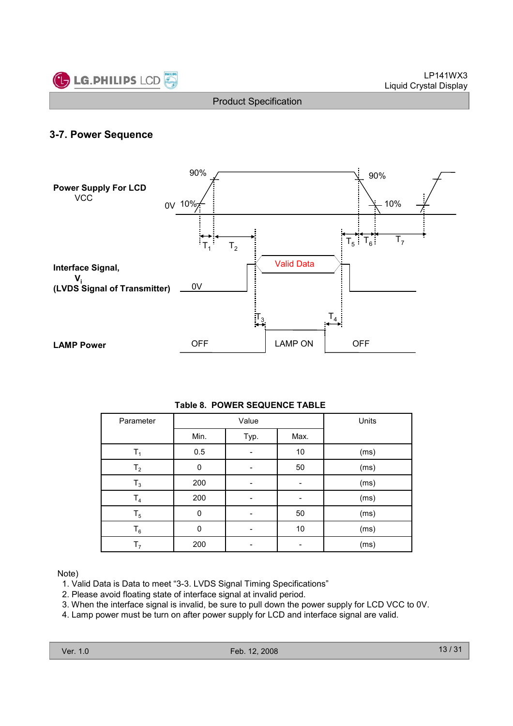

### 3-7. Power Sequence



#### Table 8. POWER SEQUENCE TABLE

| Parameter      |          | Value | Units |      |
|----------------|----------|-------|-------|------|
|                | Min.     | Typ.  | Max.  |      |
| $T_1$          | 0.5      |       | 10    | (ms) |
| T <sub>2</sub> | 0        |       | 50    | (ms) |
| $T_3$          | 200      |       |       | (ms) |
| $T_4$          | 200      |       |       | (ms) |
| $T_5$          | $\Omega$ |       | 50    | (ms) |
| $T_6$          | $\Omega$ |       | $10$  | (ms) |
| T <sub>7</sub> | 200      |       |       | (ms) |

Note)

- 1. Valid Data is Data to meet "3-3. LVDS Signal Timing Specifications"
- 2. Please avoid floating state of interface signal at invalid period.
- 3. When the interface signal is invalid, be sure to pull down the power supply for LCD VCC to 0V.
- 4. Lamp power must be turn on after power supply for LCD and interface signal are valid.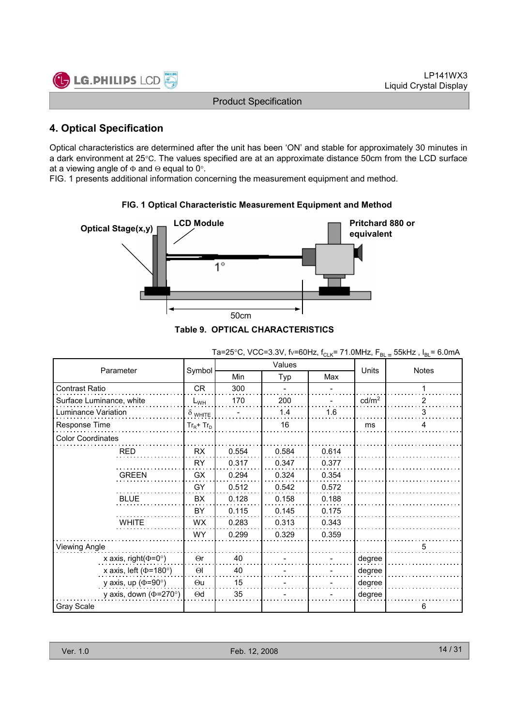

## 4. Optical Specification

Optical characteristics are determined after the unit has been 'ON' and stable for approximately 30 minutes in a dark environment at 25°C. The values specified are at an approximate distance 50cm from the LCD surface at a viewing angle of  $\Phi$  and  $\Theta$  equal to 0°.

FIG. 1 presents additional information concerning the measurement equipment and method.



### FIG. 1 Optical Characteristic Measurement Equipment and Method

|  | JIE 9. OPTICAL CHARACTERISTICS. |  |
|--|---------------------------------|--|
|  |                                 |  |

|                              |                |            | Values     | Units |                   |              |  |
|------------------------------|----------------|------------|------------|-------|-------------------|--------------|--|
| Parameter                    | Symbol         | <b>Min</b> | Max<br>Typ |       |                   | <b>Notes</b> |  |
| Contrast Ratio               | <b>CR</b>      | 300        |            |       |                   | 1            |  |
| Surface Luminance, white     | $L_{WH}$       | 170        | 200        |       | cd/m <sup>2</sup> | 2            |  |
| Luminance Variation          | $\delta$ white |            | 1.4        | 1.6   |                   | 3            |  |
| Response Time                | $Tr_R + Tr_D$  |            | 16         |       | ms                | 4            |  |
| <b>Color Coordinates</b>     |                |            |            |       |                   |              |  |
| RED                          | RX             | 0.554      | 0.584      | 0.614 |                   |              |  |
|                              | RY             | 0.317      | 0.347      | 0.377 |                   |              |  |
| <b>GREEN</b>                 | GX             | 0.294      | 0.324      | 0.354 |                   |              |  |
|                              | GY             | 0.512      | 0.542      | 0.572 |                   |              |  |
| <b>BLUE</b>                  | BX             | 0.128      | 0.158      | 0.188 |                   |              |  |
|                              | BY             | 0.115      | 0.145      | 0.175 |                   |              |  |
| <b>WHITE</b>                 | WX             | 0.283      | 0.313      | 0.343 |                   |              |  |
|                              | <b>WY</b>      | 0.299      | 0.329      | 0.359 |                   |              |  |
| Viewing Angle                |                |            |            |       |                   | 5            |  |
| x axis, right( $\Phi$ =0°)   | $\Theta$ r     | 40         |            |       | degree            |              |  |
| x axis, left ( $\Phi$ =180°) | $\Theta$       | 40         |            |       | degree            |              |  |
| y axis, up ( $\Phi$ =90°)    | $\Theta$ u     | 15         |            |       | degree            |              |  |
| y axis, down ( $\Phi$ =270°) | $\Theta$ d     | 35         |            |       | degree            |              |  |
| Gray Scale                   |                |            |            |       |                   | 6            |  |

Ta=25°C, VCC=3.3V, fv=60Hz, f<sub>CLK</sub>= 71.0MHz,  $F_{BL}$  = 55kHz,  $I_{BL}$ = 6.0mA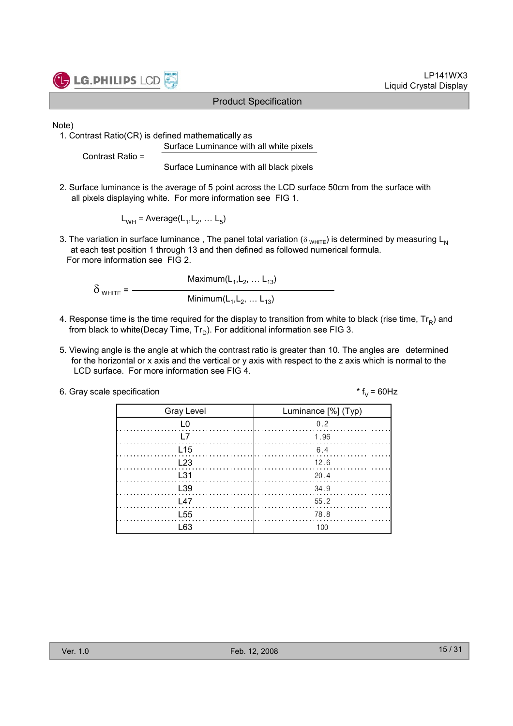

LP141WX3 Liquid Crystal Display

Note)

1. Contrast Ratio(CR) is defined mathematically as Surface Luminance with all white pixels

Contrast Ratio =

Surface Luminance with all black pixels

2. Surface luminance is the average of 5 point across the LCD surface 50cm from the surface with all pixels displaying white. For more information see FIG 1.

 $L_{WH}$  = Average( $L_1, L_2, ... L_5$ )

3. The variation in surface luminance, The panel total variation ( $\delta_{WHTE}$ ) is determined by measuring L<sub>N</sub> at each test position 1 through 13 and then defined as followed numerical formula. For more information see FIG 2.

Maximum $(\mathsf{L}_1, \mathsf{L}_2, \ldots \mathsf{L}_{13})$  $\delta$ <sub>WHITE</sub> =  $-$ Minimum $(\mathsf{L}_1, \mathsf{L}_2, \ldots \mathsf{L}_{13})$ 

- 4. Response time is the time required for the display to transition from white to black (rise time,  $\mathsf{Tr}_{\mathsf{R}}$ ) and from black to white(Decay Time, Tr $_{\textrm{\scriptsize D}}$ ). For additional information see FIG 3.
- 5. Viewing angle is the angle at which the contrast ratio is greater than 10. The angles are determined for the horizontal or x axis and the vertical or y axis with respect to the z axis which is normal to the LCD surface. For more information see FIG 4.

| 6. Gray scale specification | * $f_v = 60$ Hz |
|-----------------------------|-----------------|
|-----------------------------|-----------------|

| <b>Gray Level</b> | Luminance [%] (Typ)                                                          |
|-------------------|------------------------------------------------------------------------------|
| L0                | 0.2                                                                          |
| l 7               | 1.96                                                                         |
| L <sub>15</sub>   | 6.4                                                                          |
| L23               |                                                                              |
| $\pm$ 31          | $\begin{array}{c} \begin{array}{c} \end{array} \begin{array}{c} \end{array}$ |
| L <sub>39</sub>   | 34.9                                                                         |
| $\sqrt{47}$       | 55.2                                                                         |
| L <sub>55</sub>   | 78.8                                                                         |
| ነ 63              | 100                                                                          |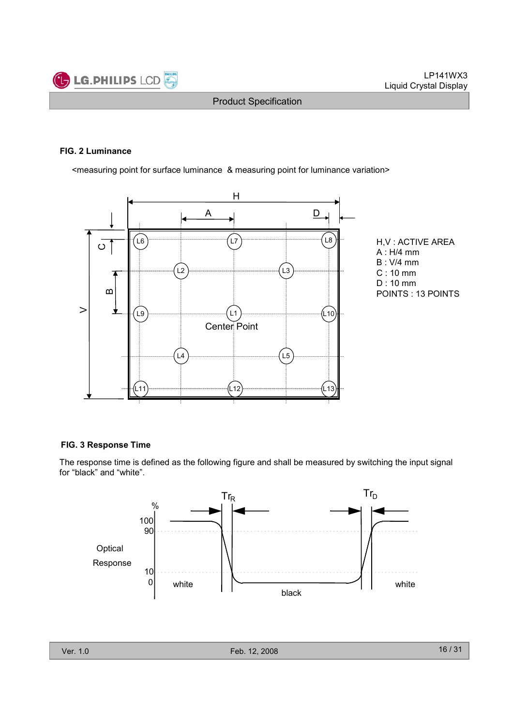

#### FIG. 2 Luminance

<measuring point for surface luminance & measuring point for luminance variation>



H,V : ACTIVE AREA A : H/4 mm B : V/4 mm C : 10 mm D : 10 mm POINTS : 13 POINTS

#### FIG. 3 Response Time

The response time is defined as the following figure and shall be measured by switching the input signal for "black" and "white".

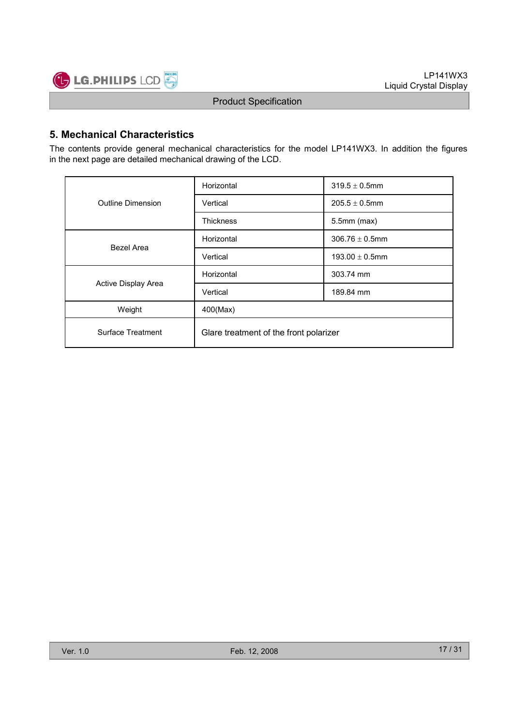

## 5. Mechanical Characteristics

The contents provide general mechanical characteristics for the model LP141WX3. In addition the figures in the next page are detailed mechanical drawing of the LCD.

|                     | Horizontal                             | $319.5 \pm 0.5$ mm  |  |  |
|---------------------|----------------------------------------|---------------------|--|--|
| Outline Dimension   | Vertical                               | $205.5 \pm 0.5$ mm  |  |  |
|                     | <b>Thickness</b>                       | $5.5$ mm $(max)$    |  |  |
| Bezel Area          | Horizontal                             | $306.76 \pm 0.5$ mm |  |  |
|                     | Vertical                               | $193.00 \pm 0.5$ mm |  |  |
|                     | Horizontal                             | 303.74 mm           |  |  |
| Active Display Area | Vertical                               | 189.84 mm           |  |  |
| Weight              | 400(Max)                               |                     |  |  |
| Surface Treatment   | Glare treatment of the front polarizer |                     |  |  |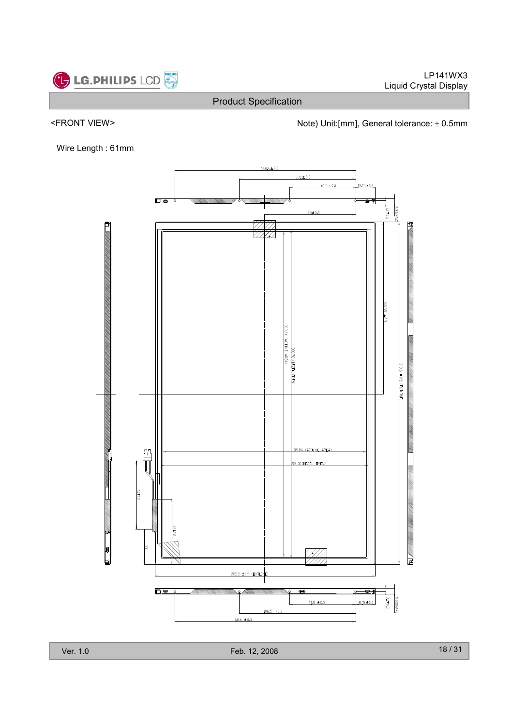

<FRONT VIEW>  $\blacksquare$  Note) Unit:[mm], General tolerance:  $\pm$  0.5mm

Wire Length : 61mm



Ver. 1.0 Feb. 12, 2008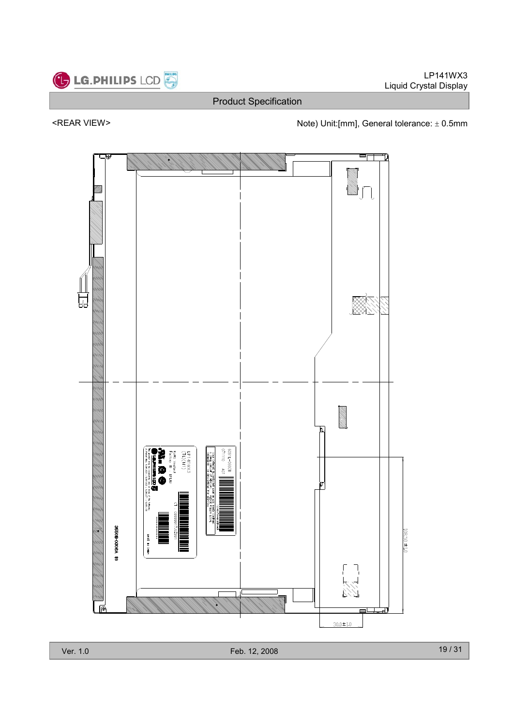

Ver. 1.0 Feb. 12, 2008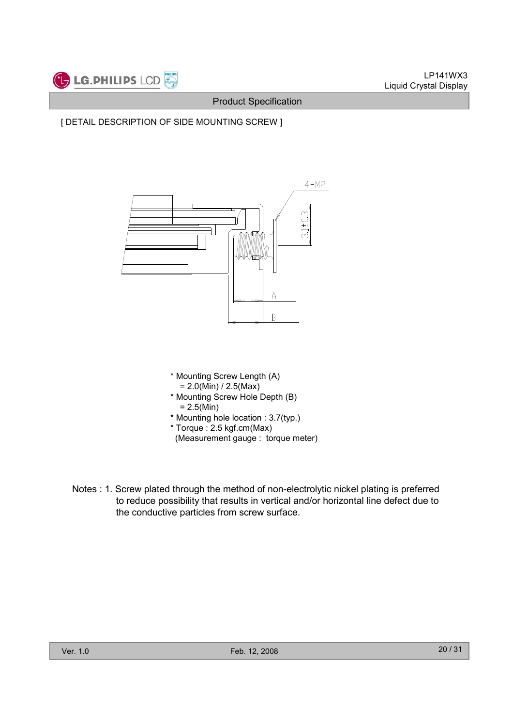

[ DETAIL DESCRIPTION OF SIDE MOUNTING SCREW ]



- \* Mounting Screw Length (A)  $= 2.0(Min) / 2.5(Max)$
- \* Mounting Screw Hole Depth (B)  $= 2.5(Min)$
- \* Mounting hole location : 3.7(typ.)
- \* Torque : 2.5 kgf.cm(Max)
- (Measurement gauge : torque meter)
- Notes : 1. Screw plated through the method of non-electrolytic nickel plating is preferred to reduce possibility that results in vertical and/or horizontal line defect due to the conductive particles from screw surface.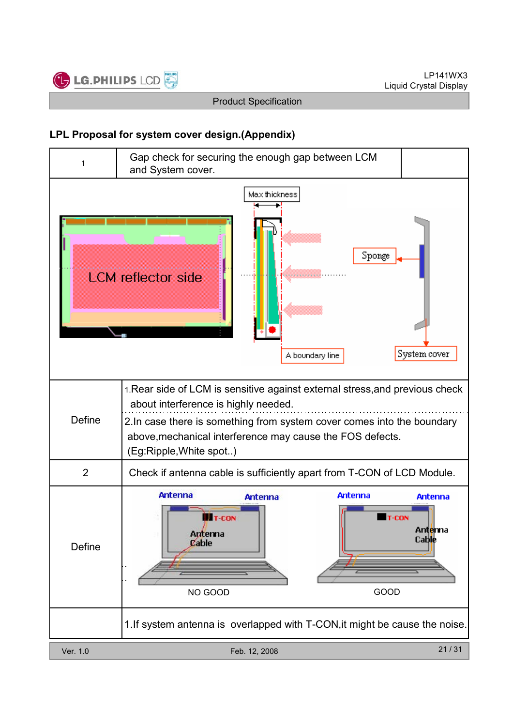

## LPL Proposal for system cover design.(Appendix)

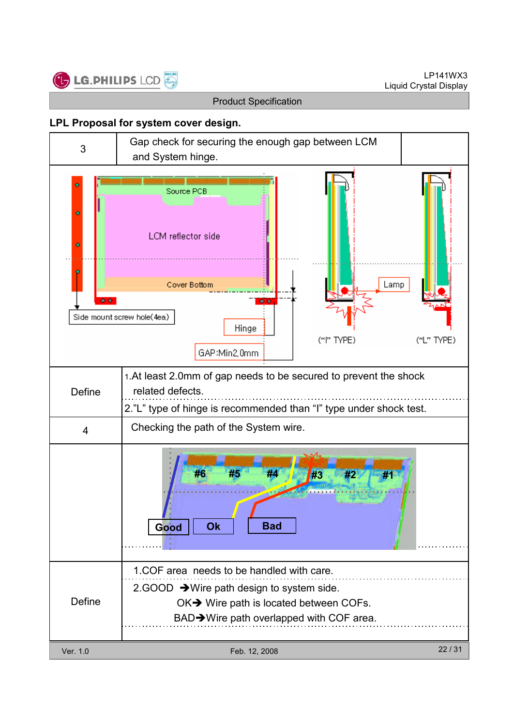

### LPL Proposal for system cover design.

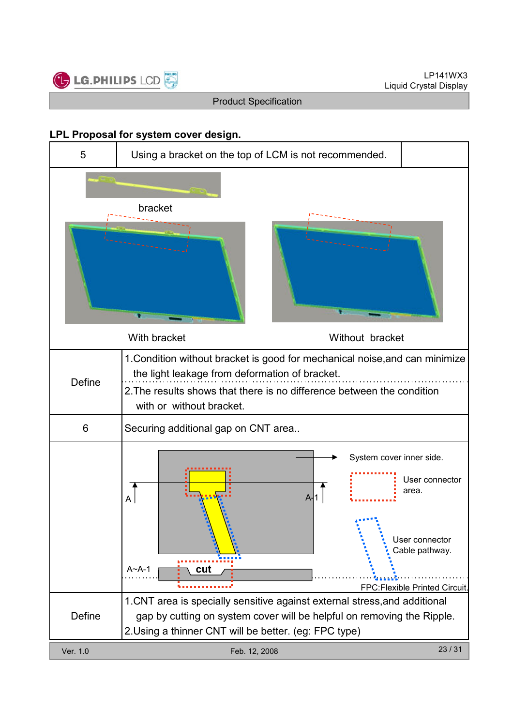

### LPL Proposal for system cover design.

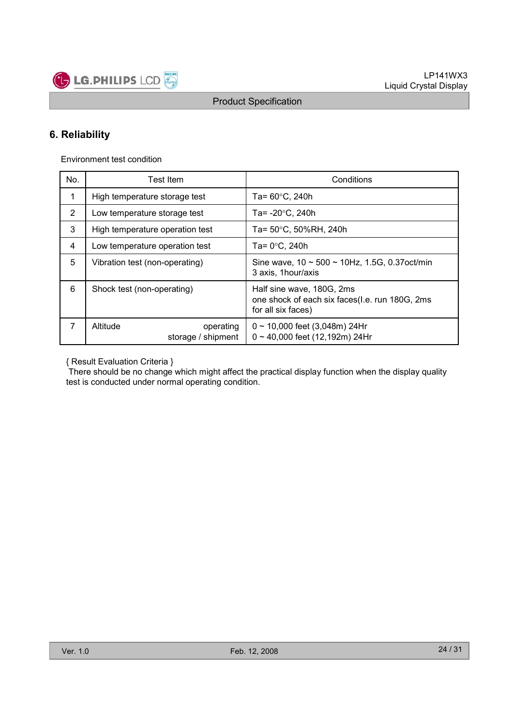

## 6. Reliability

Environment test condition

| No. | Test Item                                   | Conditions                                                                                        |  |  |  |  |  |
|-----|---------------------------------------------|---------------------------------------------------------------------------------------------------|--|--|--|--|--|
| 1   | High temperature storage test               | Ta= $60^{\circ}$ C, 240h                                                                          |  |  |  |  |  |
| 2   | Low temperature storage test                | Ta= $-20^{\circ}$ C, 240h                                                                         |  |  |  |  |  |
| 3   | High temperature operation test             | Ta= 50°C, 50%RH, 240h                                                                             |  |  |  |  |  |
| 4   | Low temperature operation test              | Ta= $0^{\circ}$ C. 240h                                                                           |  |  |  |  |  |
| 5   | Vibration test (non-operating)              | Sine wave, $10 \sim 500 \sim 10$ Hz, 1.5G, 0.37 oct/min<br>3 axis, 1 hour/axis                    |  |  |  |  |  |
| 6   | Shock test (non-operating)                  | Half sine wave, 180G, 2ms<br>one shock of each six faces(I.e. run 180G, 2ms<br>for all six faces) |  |  |  |  |  |
| 7   | Altitude<br>operating<br>storage / shipment | $0 \sim 10,000$ feet (3,048m) 24Hr<br>$0 \sim 40,000$ feet (12,192m) 24Hr                         |  |  |  |  |  |

{ Result Evaluation Criteria }

There should be no change which might affect the practical display function when the display quality test is conducted under normal operating condition.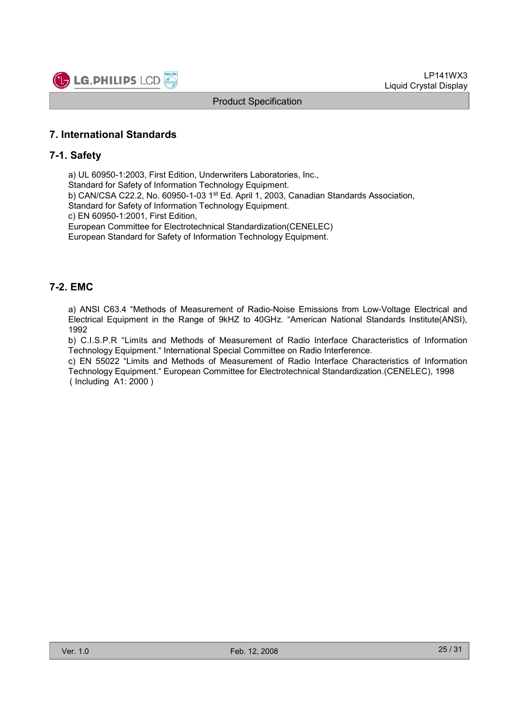

### 7. International Standards

### 7-1. Safety

a) UL 60950-1:2003, First Edition, Underwriters Laboratories, Inc., Standard for Safety of Information Technology Equipment. b) CAN/CSA C22.2, No. 60950-1-03 1st Ed. April 1, 2003, Canadian Standards Association, Standard for Safety of Information Technology Equipment. c) EN 60950-1:2001, First Edition, European Committee for Electrotechnical Standardization(CENELEC) European Standard for Safety of Information Technology Equipment.

### 7-2. EMC

a) ANSI C63.4 "Methods of Measurement of Radio-Noise Emissions from Low-Voltage Electrical and Electrical Equipment in the Range of 9kHZ to 40GHz. "American National Standards Institute(ANSI), 1992

b) C.I.S.P.R "Limits and Methods of Measurement of Radio Interface Characteristics of Information Technology Equipment." International Special Committee on Radio Interference.

c) EN 55022 "Limits and Methods of Measurement of Radio Interface Characteristics of Information Technology Equipment." European Committee for Electrotechnical Standardization.(CENELEC), 1998 ( Including A1: 2000 )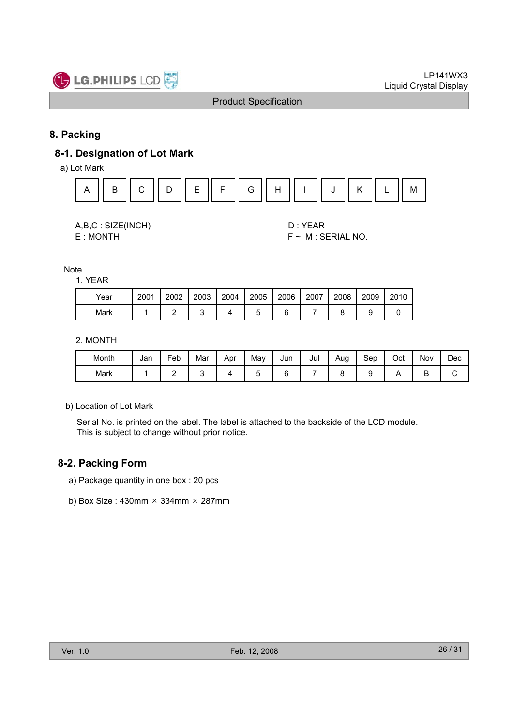

## 8. Packing

## 8-1. Designation of Lot Mark

a) Lot Mark



| A,B,C: SIZE(INCH) |
|-------------------|
| E: MONTH          |

D : YEAR  $F \sim M$  : SERIAL NO.

Note

1. YEAR

| Year | 2001 | 2002 | 2003 | 2004 | 2005 | 2006 | 2007 | 2008 | 2009 | 2010 |
|------|------|------|------|------|------|------|------|------|------|------|
| Mark |      |      |      |      |      |      |      |      |      |      |

#### 2. MONTH

| Month | Jan | Feb | Mar | Apr | Mav | Jun | Jul | Aug | Sep | Oct | Nov | Dec |
|-------|-----|-----|-----|-----|-----|-----|-----|-----|-----|-----|-----|-----|
| Mark  |     | -   |     |     |     | -   |     |     |     |     | ◡   | ັ   |

b) Location of Lot Mark

Serial No. is printed on the label. The label is attached to the backside of the LCD module. This is subject to change without prior notice.

### 8-2. Packing Form

- a) Package quantity in one box : 20 pcs
- b) Box Size : 430mm  $\times$  334mm  $\times$  287mm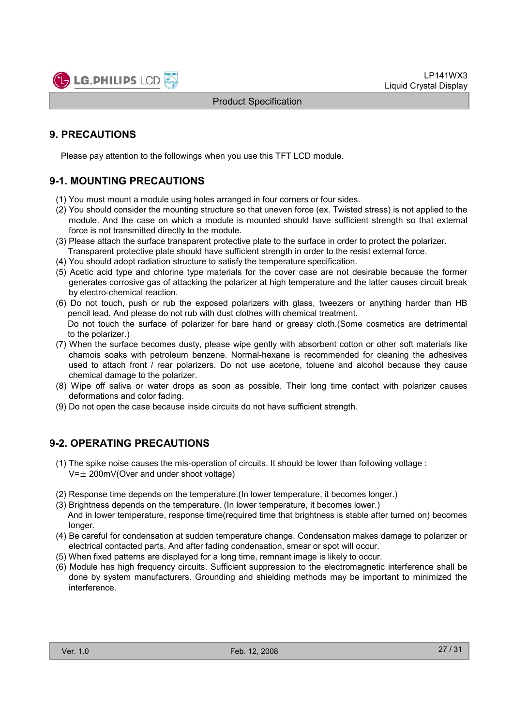

## 9. PRECAUTIONS

Please pay attention to the followings when you use this TFT LCD module.

## 9-1. MOUNTING PRECAUTIONS

- (1) You must mount a module using holes arranged in four corners or four sides.
- (2) You should consider the mounting structure so that uneven force (ex. Twisted stress) is not applied to the module. And the case on which a module is mounted should have sufficient strength so that external force is not transmitted directly to the module.
- (3) Please attach the surface transparent protective plate to the surface in order to protect the polarizer. Transparent protective plate should have sufficient strength in order to the resist external force.
- (4) You should adopt radiation structure to satisfy the temperature specification.
- (5) Acetic acid type and chlorine type materials for the cover case are not desirable because the former generates corrosive gas of attacking the polarizer at high temperature and the latter causes circuit break by electro-chemical reaction.
- (6) Do not touch, push or rub the exposed polarizers with glass, tweezers or anything harder than HB pencil lead. And please do not rub with dust clothes with chemical treatment. Do not touch the surface of polarizer for bare hand or greasy cloth.(Some cosmetics are detrimental to the polarizer.)
- (7) When the surface becomes dusty, please wipe gently with absorbent cotton or other soft materials like chamois soaks with petroleum benzene. Normal-hexane is recommended for cleaning the adhesives used to attach front / rear polarizers. Do not use acetone, toluene and alcohol because they cause chemical damage to the polarizer.
- (8) Wipe off saliva or water drops as soon as possible. Their long time contact with polarizer causes deformations and color fading.
- (9) Do not open the case because inside circuits do not have sufficient strength.

### 9-2. OPERATING PRECAUTIONS

- (1) The spike noise causes the mis-operation of circuits. It should be lower than following voltage :  $V=\pm 200$ mV(Over and under shoot voltage)
- (2) Response time depends on the temperature.(In lower temperature, it becomes longer.)
- (3) Brightness depends on the temperature. (In lower temperature, it becomes lower.) And in lower temperature, response time(required time that brightness is stable after turned on) becomes longer.
- (4) Be careful for condensation at sudden temperature change. Condensation makes damage to polarizer or electrical contacted parts. And after fading condensation, smear or spot will occur.
- (5) When fixed patterns are displayed for a long time, remnant image is likely to occur.
- (6) Module has high frequency circuits. Sufficient suppression to the electromagnetic interference shall be done by system manufacturers. Grounding and shielding methods may be important to minimized the interference.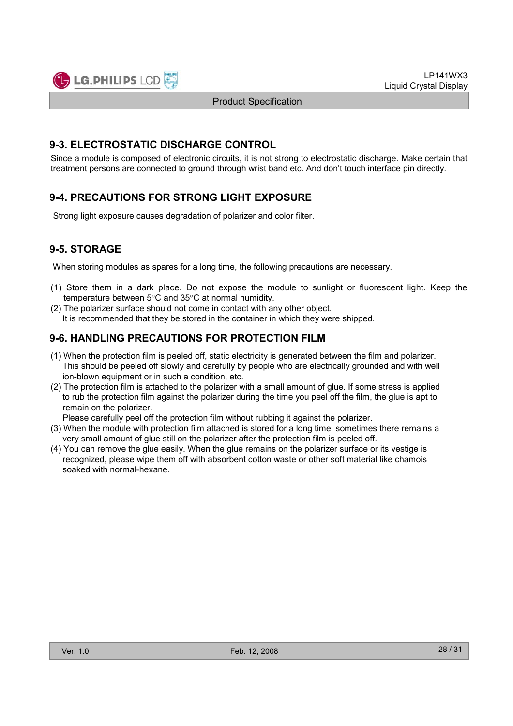

### 9-3. ELECTROSTATIC DISCHARGE CONTROL

Since a module is composed of electronic circuits, it is not strong to electrostatic discharge. Make certain that treatment persons are connected to ground through wrist band etc. And don't touch interface pin directly.

## 9-4. PRECAUTIONS FOR STRONG LIGHT EXPOSURE

Strong light exposure causes degradation of polarizer and color filter.

## 9-5. STORAGE

When storing modules as spares for a long time, the following precautions are necessary.

- (1) Store them in a dark place. Do not expose the module to sunlight or fluorescent light. Keep the temperature between 5°C and 35°C at normal humidity.
- (2) The polarizer surface should not come in contact with any other object. It is recommended that they be stored in the container in which they were shipped.

## 9-6. HANDLING PRECAUTIONS FOR PROTECTION FILM

- (1) When the protection film is peeled off, static electricity is generated between the film and polarizer. This should be peeled off slowly and carefully by people who are electrically grounded and with well ion-blown equipment or in such a condition, etc.
- (2) The protection film is attached to the polarizer with a small amount of glue. If some stress is applied to rub the protection film against the polarizer during the time you peel off the film, the glue is apt to remain on the polarizer.

Please carefully peel off the protection film without rubbing it against the polarizer.

- (3) When the module with protection film attached is stored for a long time, sometimes there remains a very small amount of glue still on the polarizer after the protection film is peeled off.
- (4) You can remove the glue easily. When the glue remains on the polarizer surface or its vestige is recognized, please wipe them off with absorbent cotton waste or other soft material like chamois soaked with normal-hexane.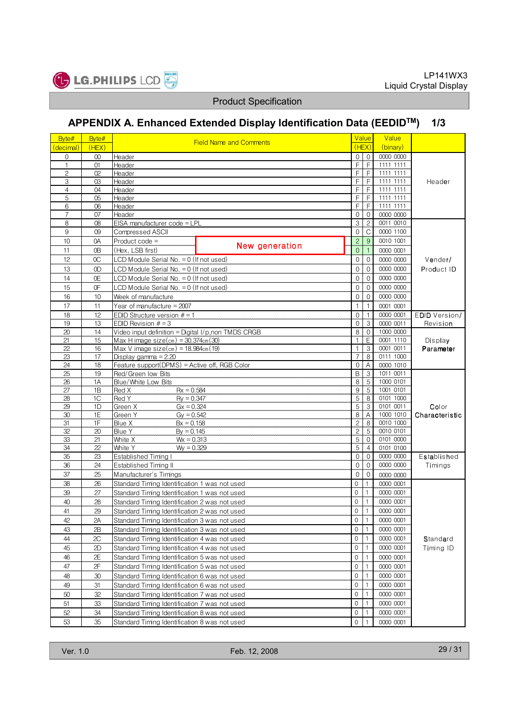

# APPENDIX A. Enhanced Extended Display Identification Data (EEDIDTM) 1/3

| <b>Field Name and Comments</b><br>(HEX)<br>(binary)<br>(decimal)<br>(HEX)<br>0000 0000<br>$\mathbf 0$<br>Header<br>0<br>$\mathbf 0$<br>$^{00}$<br>F<br>E<br>1<br>01<br>Header<br>1111 1111<br>$\overline{c}$<br>F<br>F<br>02<br>Header<br>1111 1111<br>3<br>F<br>F<br>1111 1111<br>03<br>Header<br>Header<br>F<br>F<br>$\overline{4}$<br>04<br>Header<br>1111 1111<br>5<br>F<br>F<br>1111 1111<br>05<br>Header<br>F<br>F<br>6<br>1111 1111<br>06<br>Header<br>$\mathbf 0$<br>$\overline{7}$<br>$\Omega$<br>07<br>Header<br>0000 0000<br>3<br>$\overline{c}$<br>0011 0010<br>8<br>08<br>EISA manufacturer code = LPL<br>$\mathcal{C}$<br>0000 1100<br>9<br>$\mathbf 0$<br>09<br>Compressed ASCII<br>$\overline{c}$<br>9<br>0010 1001<br>10<br>0A<br>$Product code =$<br>New generation<br>$\overline{0}$<br>11<br>0B<br>(Hex, LSB first)<br>$\overline{1}$<br>0000 0001<br>12<br>$\mathbf 0$<br>$\mathbf{0}$<br>$\alpha$<br>LCD Module Serial No. $= 0$ (If not used)<br>0000 0000<br>Vender/<br>13<br>0000 0000<br>0D<br>LCD Module Serial No. $= 0$ (If not used)<br>$\mathbf 0$<br>$\mathbf 0$<br>Product ID<br>0000 0000<br>0E<br>$\mathbf 0$<br>$\mathbf{0}$<br>14<br>LCD Module Serial No. = 0 (If not used)<br>0000 0000<br>15<br>0F<br>$\mathbf 0$<br>$\mathbf{0}$<br>LCD Module Serial No. = 0 (If not used)<br>16<br>10<br>Week of manufacture<br>$\mathbf 0$<br>$\mathbf 0$<br>0000 0000<br>$\mathbf{1}$<br>17<br>11<br>Year of manufacture = $2007$<br>$\mathbf{1}$<br>0001 0001 |  |
|---------------------------------------------------------------------------------------------------------------------------------------------------------------------------------------------------------------------------------------------------------------------------------------------------------------------------------------------------------------------------------------------------------------------------------------------------------------------------------------------------------------------------------------------------------------------------------------------------------------------------------------------------------------------------------------------------------------------------------------------------------------------------------------------------------------------------------------------------------------------------------------------------------------------------------------------------------------------------------------------------------------------------------------------------------------------------------------------------------------------------------------------------------------------------------------------------------------------------------------------------------------------------------------------------------------------------------------------------------------------------------------------------------------------------------------------------------------------------------------------|--|
|                                                                                                                                                                                                                                                                                                                                                                                                                                                                                                                                                                                                                                                                                                                                                                                                                                                                                                                                                                                                                                                                                                                                                                                                                                                                                                                                                                                                                                                                                             |  |
|                                                                                                                                                                                                                                                                                                                                                                                                                                                                                                                                                                                                                                                                                                                                                                                                                                                                                                                                                                                                                                                                                                                                                                                                                                                                                                                                                                                                                                                                                             |  |
|                                                                                                                                                                                                                                                                                                                                                                                                                                                                                                                                                                                                                                                                                                                                                                                                                                                                                                                                                                                                                                                                                                                                                                                                                                                                                                                                                                                                                                                                                             |  |
|                                                                                                                                                                                                                                                                                                                                                                                                                                                                                                                                                                                                                                                                                                                                                                                                                                                                                                                                                                                                                                                                                                                                                                                                                                                                                                                                                                                                                                                                                             |  |
|                                                                                                                                                                                                                                                                                                                                                                                                                                                                                                                                                                                                                                                                                                                                                                                                                                                                                                                                                                                                                                                                                                                                                                                                                                                                                                                                                                                                                                                                                             |  |
|                                                                                                                                                                                                                                                                                                                                                                                                                                                                                                                                                                                                                                                                                                                                                                                                                                                                                                                                                                                                                                                                                                                                                                                                                                                                                                                                                                                                                                                                                             |  |
|                                                                                                                                                                                                                                                                                                                                                                                                                                                                                                                                                                                                                                                                                                                                                                                                                                                                                                                                                                                                                                                                                                                                                                                                                                                                                                                                                                                                                                                                                             |  |
|                                                                                                                                                                                                                                                                                                                                                                                                                                                                                                                                                                                                                                                                                                                                                                                                                                                                                                                                                                                                                                                                                                                                                                                                                                                                                                                                                                                                                                                                                             |  |
|                                                                                                                                                                                                                                                                                                                                                                                                                                                                                                                                                                                                                                                                                                                                                                                                                                                                                                                                                                                                                                                                                                                                                                                                                                                                                                                                                                                                                                                                                             |  |
|                                                                                                                                                                                                                                                                                                                                                                                                                                                                                                                                                                                                                                                                                                                                                                                                                                                                                                                                                                                                                                                                                                                                                                                                                                                                                                                                                                                                                                                                                             |  |
|                                                                                                                                                                                                                                                                                                                                                                                                                                                                                                                                                                                                                                                                                                                                                                                                                                                                                                                                                                                                                                                                                                                                                                                                                                                                                                                                                                                                                                                                                             |  |
|                                                                                                                                                                                                                                                                                                                                                                                                                                                                                                                                                                                                                                                                                                                                                                                                                                                                                                                                                                                                                                                                                                                                                                                                                                                                                                                                                                                                                                                                                             |  |
|                                                                                                                                                                                                                                                                                                                                                                                                                                                                                                                                                                                                                                                                                                                                                                                                                                                                                                                                                                                                                                                                                                                                                                                                                                                                                                                                                                                                                                                                                             |  |
|                                                                                                                                                                                                                                                                                                                                                                                                                                                                                                                                                                                                                                                                                                                                                                                                                                                                                                                                                                                                                                                                                                                                                                                                                                                                                                                                                                                                                                                                                             |  |
|                                                                                                                                                                                                                                                                                                                                                                                                                                                                                                                                                                                                                                                                                                                                                                                                                                                                                                                                                                                                                                                                                                                                                                                                                                                                                                                                                                                                                                                                                             |  |
|                                                                                                                                                                                                                                                                                                                                                                                                                                                                                                                                                                                                                                                                                                                                                                                                                                                                                                                                                                                                                                                                                                                                                                                                                                                                                                                                                                                                                                                                                             |  |
|                                                                                                                                                                                                                                                                                                                                                                                                                                                                                                                                                                                                                                                                                                                                                                                                                                                                                                                                                                                                                                                                                                                                                                                                                                                                                                                                                                                                                                                                                             |  |
|                                                                                                                                                                                                                                                                                                                                                                                                                                                                                                                                                                                                                                                                                                                                                                                                                                                                                                                                                                                                                                                                                                                                                                                                                                                                                                                                                                                                                                                                                             |  |
|                                                                                                                                                                                                                                                                                                                                                                                                                                                                                                                                                                                                                                                                                                                                                                                                                                                                                                                                                                                                                                                                                                                                                                                                                                                                                                                                                                                                                                                                                             |  |
| 18<br>12<br>EDID Structure version $# = 1$<br>0000 0001<br>EDID Version/<br>0<br>$\mathbf{1}$                                                                                                                                                                                                                                                                                                                                                                                                                                                                                                                                                                                                                                                                                                                                                                                                                                                                                                                                                                                                                                                                                                                                                                                                                                                                                                                                                                                               |  |
| $\overline{3}$<br>19<br>13<br>$\Omega$<br>EDID Revision $# = 3$<br>0000 0011<br>Revision                                                                                                                                                                                                                                                                                                                                                                                                                                                                                                                                                                                                                                                                                                                                                                                                                                                                                                                                                                                                                                                                                                                                                                                                                                                                                                                                                                                                    |  |
| 20<br>8<br>14<br>Video input definition = Digital $I/p$ , non TMDS CRGB<br>$\mathbf 0$<br>1000 0000                                                                                                                                                                                                                                                                                                                                                                                                                                                                                                                                                                                                                                                                                                                                                                                                                                                                                                                                                                                                                                                                                                                                                                                                                                                                                                                                                                                         |  |
| F<br>21<br>15<br>Max H image $size(cm) = 30.374cm(30)$<br>0001 1110<br>1<br>Display                                                                                                                                                                                                                                                                                                                                                                                                                                                                                                                                                                                                                                                                                                                                                                                                                                                                                                                                                                                                                                                                                                                                                                                                                                                                                                                                                                                                         |  |
| 1<br>3<br>0001 0011<br>22<br>16<br>Max V image size $\text{(cm)} = 18.984 \text{cm}$ $(19)$<br>Parameter                                                                                                                                                                                                                                                                                                                                                                                                                                                                                                                                                                                                                                                                                                                                                                                                                                                                                                                                                                                                                                                                                                                                                                                                                                                                                                                                                                                    |  |
| 23<br>$\overline{7}$<br>8<br>17<br>0111 1000<br>Display gamma $= 2.20$                                                                                                                                                                                                                                                                                                                                                                                                                                                                                                                                                                                                                                                                                                                                                                                                                                                                                                                                                                                                                                                                                                                                                                                                                                                                                                                                                                                                                      |  |
| A<br>24<br>18<br>Feature support(DPMS) = Active off, RGB Color<br>$\Omega$<br>0000 1010<br>1011 0011                                                                                                                                                                                                                                                                                                                                                                                                                                                                                                                                                                                                                                                                                                                                                                                                                                                                                                                                                                                                                                                                                                                                                                                                                                                                                                                                                                                        |  |
| 25<br>B<br>3<br>19<br>Red/Green low Bits<br>8<br>5<br>1000 0101<br>26<br>1A<br>Blue/White Low Bits                                                                                                                                                                                                                                                                                                                                                                                                                                                                                                                                                                                                                                                                                                                                                                                                                                                                                                                                                                                                                                                                                                                                                                                                                                                                                                                                                                                          |  |
| $\overline{9}$<br>$\overline{5}$<br>27<br>1B<br>Red X<br>$Rx = 0.584$<br>1001 0101                                                                                                                                                                                                                                                                                                                                                                                                                                                                                                                                                                                                                                                                                                                                                                                                                                                                                                                                                                                                                                                                                                                                                                                                                                                                                                                                                                                                          |  |
| $\overline{5}$<br>28<br>1C<br>Red Y<br>8<br>$Ry = 0.347$<br>0101 1000                                                                                                                                                                                                                                                                                                                                                                                                                                                                                                                                                                                                                                                                                                                                                                                                                                                                                                                                                                                                                                                                                                                                                                                                                                                                                                                                                                                                                       |  |
| 5<br>3<br>0101 0011<br>29<br>1D<br>Green X<br>$Gx = 0.324$<br>Color                                                                                                                                                                                                                                                                                                                                                                                                                                                                                                                                                                                                                                                                                                                                                                                                                                                                                                                                                                                                                                                                                                                                                                                                                                                                                                                                                                                                                         |  |
| 1E<br>8<br>A<br>1000 1010<br>30<br>Green Y<br>$Gy = 0.542$<br>Characteristic                                                                                                                                                                                                                                                                                                                                                                                                                                                                                                                                                                                                                                                                                                                                                                                                                                                                                                                                                                                                                                                                                                                                                                                                                                                                                                                                                                                                                |  |
| $\overline{c}$<br>31<br>1F<br>8<br>0010 1000<br>Blue X<br>$Bx = 0.158$                                                                                                                                                                                                                                                                                                                                                                                                                                                                                                                                                                                                                                                                                                                                                                                                                                                                                                                                                                                                                                                                                                                                                                                                                                                                                                                                                                                                                      |  |
| $\overline{2}$<br>5<br><b>Blue Y</b><br>0010 0101<br>32<br>20<br>$By = 0.145$                                                                                                                                                                                                                                                                                                                                                                                                                                                                                                                                                                                                                                                                                                                                                                                                                                                                                                                                                                                                                                                                                                                                                                                                                                                                                                                                                                                                               |  |
| 5<br>0101 0000<br>33<br>21<br>White X<br>$\mathbf 0$<br>$Wx = 0.313$                                                                                                                                                                                                                                                                                                                                                                                                                                                                                                                                                                                                                                                                                                                                                                                                                                                                                                                                                                                                                                                                                                                                                                                                                                                                                                                                                                                                                        |  |
| 5<br>34<br>22<br>White Y<br>$\overline{4}$<br>$Wy = 0.329$<br>0101 0100                                                                                                                                                                                                                                                                                                                                                                                                                                                                                                                                                                                                                                                                                                                                                                                                                                                                                                                                                                                                                                                                                                                                                                                                                                                                                                                                                                                                                     |  |
| 0000 0000<br>35<br><b>Established Timing I</b><br>$\mathbf 0$<br>$\boldsymbol{0}$<br>Established<br>23                                                                                                                                                                                                                                                                                                                                                                                                                                                                                                                                                                                                                                                                                                                                                                                                                                                                                                                                                                                                                                                                                                                                                                                                                                                                                                                                                                                      |  |
| $\overline{0}$<br>36<br>24<br>Established Timing II<br>$\mathbf 0$<br>0000 0000<br>Timings                                                                                                                                                                                                                                                                                                                                                                                                                                                                                                                                                                                                                                                                                                                                                                                                                                                                                                                                                                                                                                                                                                                                                                                                                                                                                                                                                                                                  |  |
| $\overline{0}$<br>37<br>25<br>$\Omega$<br>Manufacturer's Timings<br>0000 0000                                                                                                                                                                                                                                                                                                                                                                                                                                                                                                                                                                                                                                                                                                                                                                                                                                                                                                                                                                                                                                                                                                                                                                                                                                                                                                                                                                                                               |  |
| 0<br>1<br>0000 0001<br>38<br>26<br>Standard Timing Identification 1 was not used                                                                                                                                                                                                                                                                                                                                                                                                                                                                                                                                                                                                                                                                                                                                                                                                                                                                                                                                                                                                                                                                                                                                                                                                                                                                                                                                                                                                            |  |
| 0<br>39<br>27<br>0000 0001<br>Standard Timing Identification 1 was not used<br>1                                                                                                                                                                                                                                                                                                                                                                                                                                                                                                                                                                                                                                                                                                                                                                                                                                                                                                                                                                                                                                                                                                                                                                                                                                                                                                                                                                                                            |  |
| $\mathbf 0$<br>40<br>28<br>0000 0001<br>Standard Timing Identification 2 was not used<br>1                                                                                                                                                                                                                                                                                                                                                                                                                                                                                                                                                                                                                                                                                                                                                                                                                                                                                                                                                                                                                                                                                                                                                                                                                                                                                                                                                                                                  |  |
| $\Omega$<br>41<br>0000 0001<br>29<br>1<br>Standard Timing Identification 2 was not used                                                                                                                                                                                                                                                                                                                                                                                                                                                                                                                                                                                                                                                                                                                                                                                                                                                                                                                                                                                                                                                                                                                                                                                                                                                                                                                                                                                                     |  |
| 0<br>0000 0001<br>1<br>42<br>2A<br>Standard Timing Identification 3 was not used                                                                                                                                                                                                                                                                                                                                                                                                                                                                                                                                                                                                                                                                                                                                                                                                                                                                                                                                                                                                                                                                                                                                                                                                                                                                                                                                                                                                            |  |
| $\mathsf{O}\xspace$<br>1<br>43<br>2B<br>Standard Timing Identification 3 was not used<br>0000 0001                                                                                                                                                                                                                                                                                                                                                                                                                                                                                                                                                                                                                                                                                                                                                                                                                                                                                                                                                                                                                                                                                                                                                                                                                                                                                                                                                                                          |  |
| 0<br>44<br>2C<br>0000 0001<br>Standard<br>Standard Timing Identification 4 was not used<br>1                                                                                                                                                                                                                                                                                                                                                                                                                                                                                                                                                                                                                                                                                                                                                                                                                                                                                                                                                                                                                                                                                                                                                                                                                                                                                                                                                                                                |  |
| $\mathbf 0$<br>45<br>$\mathbf{1}$<br>0000 0001<br>2D<br>Timing ID<br>Standard Timing Identification 4 was not used                                                                                                                                                                                                                                                                                                                                                                                                                                                                                                                                                                                                                                                                                                                                                                                                                                                                                                                                                                                                                                                                                                                                                                                                                                                                                                                                                                          |  |
| 0<br>0000 0001<br>46<br>2Е<br>1<br>Standard Timing Identification 5 was not used                                                                                                                                                                                                                                                                                                                                                                                                                                                                                                                                                                                                                                                                                                                                                                                                                                                                                                                                                                                                                                                                                                                                                                                                                                                                                                                                                                                                            |  |
| $\mathsf{O}\xspace$<br>1<br>47<br>2F<br>0000 0001<br>Standard Timing Identification 5 was not used                                                                                                                                                                                                                                                                                                                                                                                                                                                                                                                                                                                                                                                                                                                                                                                                                                                                                                                                                                                                                                                                                                                                                                                                                                                                                                                                                                                          |  |
| $\mathsf{O}\xspace$<br>0000 0001<br>48<br>30<br>Standard Timing Identification 6 was not used<br>1                                                                                                                                                                                                                                                                                                                                                                                                                                                                                                                                                                                                                                                                                                                                                                                                                                                                                                                                                                                                                                                                                                                                                                                                                                                                                                                                                                                          |  |
| $\mathsf{O}\xspace$<br>31<br>49<br>0000 0001<br>Standard Timing Identification 6 was not used<br>1                                                                                                                                                                                                                                                                                                                                                                                                                                                                                                                                                                                                                                                                                                                                                                                                                                                                                                                                                                                                                                                                                                                                                                                                                                                                                                                                                                                          |  |
| $\overline{0}$<br>1<br>0000 0001<br>50<br>32<br>Standard Timing Identification 7 was not used                                                                                                                                                                                                                                                                                                                                                                                                                                                                                                                                                                                                                                                                                                                                                                                                                                                                                                                                                                                                                                                                                                                                                                                                                                                                                                                                                                                               |  |
| $\mathsf{O}\xspace$<br>51<br>$\mathbf{1}$<br>0000 0001<br>33<br>Standard Timing Identification 7 was not used                                                                                                                                                                                                                                                                                                                                                                                                                                                                                                                                                                                                                                                                                                                                                                                                                                                                                                                                                                                                                                                                                                                                                                                                                                                                                                                                                                               |  |
| $\mathsf{O}\xspace$<br>52<br>34<br>1<br>0000 0001<br>Standard Timing Identification 8 was not used                                                                                                                                                                                                                                                                                                                                                                                                                                                                                                                                                                                                                                                                                                                                                                                                                                                                                                                                                                                                                                                                                                                                                                                                                                                                                                                                                                                          |  |
| 53<br>35<br>$\mathsf{O}\xspace$<br>Standard Timing Identification 8 was not used<br>0000 0001                                                                                                                                                                                                                                                                                                                                                                                                                                                                                                                                                                                                                                                                                                                                                                                                                                                                                                                                                                                                                                                                                                                                                                                                                                                                                                                                                                                               |  |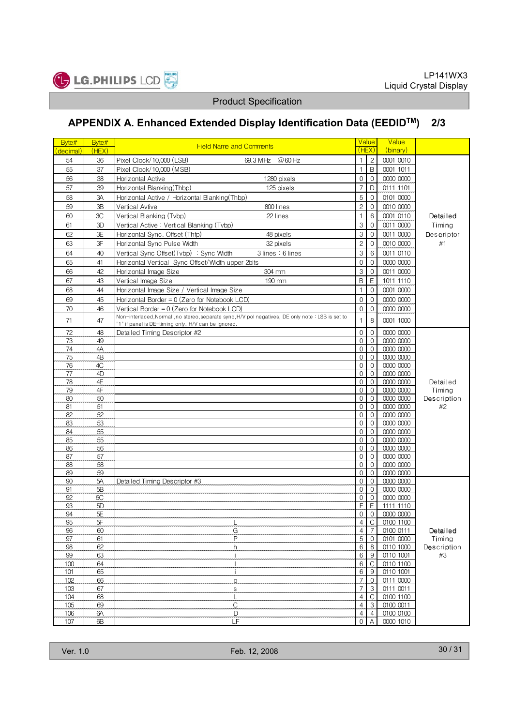

# APPENDIX A. Enhanced Extended Display Identification Data (EEDIDTM) 2/3

| Byte#<br>(decimal) | Byte#<br>(HEX) | <b>Field Name and Comments</b>                                                                                                                          | <b>Value</b><br>(HEX)            |                                  | Value<br>(binary)      |                    |
|--------------------|----------------|---------------------------------------------------------------------------------------------------------------------------------------------------------|----------------------------------|----------------------------------|------------------------|--------------------|
| 54                 | 36             | Pixel Clock/10,000 (LSB)<br>69.3 MHz @60 Hz                                                                                                             | $\mathbf{1}$                     | $\overline{c}$                   | 0001 0010              |                    |
| 55                 | 37             | Pixel Clock/10,000 (MSB)                                                                                                                                | $\mathbf{1}$                     | B                                | 0001 1011              |                    |
| 56                 | 38             | Horizontal Active<br>1280 pixels                                                                                                                        | $\mathbf 0$                      | $\mathbf{0}$                     | 0000 0000              |                    |
| 57                 | 39             | Horizontal Blanking(Thbp)<br>125 pixels                                                                                                                 | $\overline{7}$                   | D                                | 0111 1101              |                    |
| 58                 | 3A             | Horizontal Active / Horizontal Blanking(Thbp)                                                                                                           | 5                                | $\mathbf 0$                      | 0101 0000              |                    |
| 59                 | 3B             | Vertical Avtive<br>800 lines                                                                                                                            | $\overline{c}$                   | $\mathbf 0$                      | 0010 0000              |                    |
| 60                 | 3C             | Vertical Blanking (Tvbp)<br>22 lines                                                                                                                    | $\mathbf{1}$                     | 6                                | 0001 0110              | Detailed           |
| 61                 | 3D             | Vertical Active: Vertical Blanking (Tvbp)                                                                                                               | 3                                | $\mathbf 0$                      | 0011_0000              | Timing             |
| 62                 | 3E             | Horizontal Sync. Offset (Thfp)<br>48 pixels                                                                                                             | 3                                | $\overline{0}$                   | 0011 0000              | Descriptor         |
| 63                 | 3F             | Horizontal Sync Pulse Width                                                                                                                             | $\overline{c}$                   | $\mathbf 0$                      | 0010 0000              | #1                 |
|                    |                | 32 pixels<br>3 lines: 6 lines                                                                                                                           | 3                                |                                  |                        |                    |
| 64<br>65           | 40<br>41       | Vertical Sync Offset(Tvbp) : Sync Width                                                                                                                 | $\mathbf 0$                      | 6                                | 0011 0110<br>0000 0000 |                    |
|                    |                | Horizontal Vertical Sync Offset/Width upper 2bits                                                                                                       |                                  | $\mathbf 0$                      |                        |                    |
| 66                 | 42             | 304 mm<br>Horizontal Image Size                                                                                                                         | 3                                | $\mathbf{0}$                     | 0011 0000              |                    |
| 67                 | 43             | Vertical Image Size<br>190 mm                                                                                                                           | B                                | E                                | 1011 1110              |                    |
| 68                 | 44             | Horizontal Image Size / Vertical Image Size                                                                                                             | $\mathbf{1}$                     | $\mathbf{0}$                     | 0001 0000              |                    |
| 69                 | 45             | Horizontal Border = 0 (Zero for Notebook LCD)                                                                                                           | $\mathbf{0}$                     | $\overline{0}$                   | 0000 0000              |                    |
| $70\,$             | 46             | Vertical Border = $0$ (Zero for Notebook LCD)                                                                                                           | $\mathbf 0$                      | $\mathbf{0}$                     | 0000 0000              |                    |
| 71                 | 47             | Non-interlaced, Normal, no stereo, separate sync, H/V pol negatives, DE only note: LSB is set to<br>"1" if panel is DE-timing only. H/V can be ignored. | $\overline{1}$                   | 8                                | 0001 1000              |                    |
| 72                 | 48             | Detailed Timing Descriptor #2                                                                                                                           | $\mathbf 0$                      | $\mathbf 0$                      | 0000 0000              |                    |
| 73                 | 49             |                                                                                                                                                         | $\mathbf{0}$                     | $\mathbf 0$                      | 0000 0000              |                    |
| 74                 | 4A             |                                                                                                                                                         | $\mathbf{0}$                     | $\mathbf{0}$                     | 0000 0000              |                    |
| 75                 | 4B             |                                                                                                                                                         | 0                                | $\mathbf 0$                      | 0000 0000              |                    |
| 76                 | 4C             |                                                                                                                                                         | $\Omega$<br>$\mathbf{0}$         | $\Omega$                         | 0000 0000              |                    |
| 77<br>78           | 4D<br>4E       |                                                                                                                                                         | $\mathbf{0}$                     | $\mathbf 0$<br>$\mathbf 0$       | 0000 0000<br>0000 0000 | Detailed           |
| 79                 | 4F             |                                                                                                                                                         | $\mathbf{0}$                     | $\mathbf{0}$                     | 0000 0000              | Timing             |
| 80                 | 50             |                                                                                                                                                         | $\mathbf 0$                      | $\mathbf 0$                      | 0000 0000              | Description        |
| 81                 | 51             |                                                                                                                                                         | $\Omega$                         | $\mathbf{0}$                     | 0000 0000              | #2                 |
| 82                 | 52             |                                                                                                                                                         | $\mathbf 0$                      | $\mathbf 0$                      | 0000 0000              |                    |
| 83                 | 53             |                                                                                                                                                         | $\mathbf 0$                      | $\mathbf 0$                      | 0000 0000              |                    |
| 84                 | 55             |                                                                                                                                                         | $\mathbf 0$                      | $\mathbf{0}$                     | 0000 0000              |                    |
| 85                 | 55             |                                                                                                                                                         | $\mathbf 0$<br>$\Omega$          | $\mathbf{0}$                     | 0000 0000              |                    |
| 86<br>87           | 56<br>57       |                                                                                                                                                         | $\mathbf 0$                      | $\mathbf{0}$<br>$\mathbf 0$      | 0000 0000<br>0000 0000 |                    |
| 88                 | 58             |                                                                                                                                                         | $\mathbf 0$                      | $\mathbf 0$                      | 0000 0000              |                    |
| 89                 | 59             |                                                                                                                                                         | $\Omega$                         | $\Omega$                         | 0000 0000              |                    |
| 90                 | 5A             | Detailed Timing Descriptor #3                                                                                                                           | 0                                | $\mathbf 0$                      | 0000 0000              |                    |
| 91                 | 5B             |                                                                                                                                                         | $\mathbf 0$                      | $\overline{0}$                   | 0000 0000              |                    |
| 92                 | 5C             |                                                                                                                                                         | $\mathbf 0$                      | $\mathbf 0$                      | 0000 0000              |                    |
| 93                 | 5D             |                                                                                                                                                         | F                                | $\mathsf E$                      | 1111 1110              |                    |
| 94                 | 5E             |                                                                                                                                                         | $\mathbf 0$                      | $\overline{0}$                   | 0000 0000              |                    |
| 95                 | $5\mathsf{F}$  |                                                                                                                                                         | 4                                |                                  | 0100 1100              |                    |
| 96<br>97           | 60<br>61       | G<br>P                                                                                                                                                  | $\overline{4}$<br>5              | $\overline{7}$<br>$\overline{0}$ | 0100 0111<br>0101 0000 | Detailed<br>Timing |
| 98                 | 62             | h                                                                                                                                                       | 6                                | 8                                | 0110 1000              | Description        |
| 99                 | 63             | i.                                                                                                                                                      | 6                                | 9                                | 0110 1001              | #3                 |
| 100                | 64             |                                                                                                                                                         | 6                                | C                                | 0110 1100              |                    |
| 101                | 65             | Ť                                                                                                                                                       | 6                                | $\boldsymbol{9}$                 | 0110 1001              |                    |
| 102                | 66             | p                                                                                                                                                       | $\overline{7}$                   | 0                                | 0111 0000              |                    |
| 103                | 67             | S                                                                                                                                                       | $\overline{7}$                   | 3                                | 0111 0011              |                    |
| 104                | 68             | L                                                                                                                                                       | $\overline{4}$                   | C                                | 0100 1100              |                    |
| 105<br>106         | 69<br>6A       | $\mathsf C$<br>D                                                                                                                                        | $\overline{4}$<br>$\overline{4}$ | 3<br>$\overline{4}$              | 0100 0011<br>0100 0100 |                    |
| 107                | 6B             | LF                                                                                                                                                      | $\mathbf 0$                      | A                                | 0000 1010              |                    |